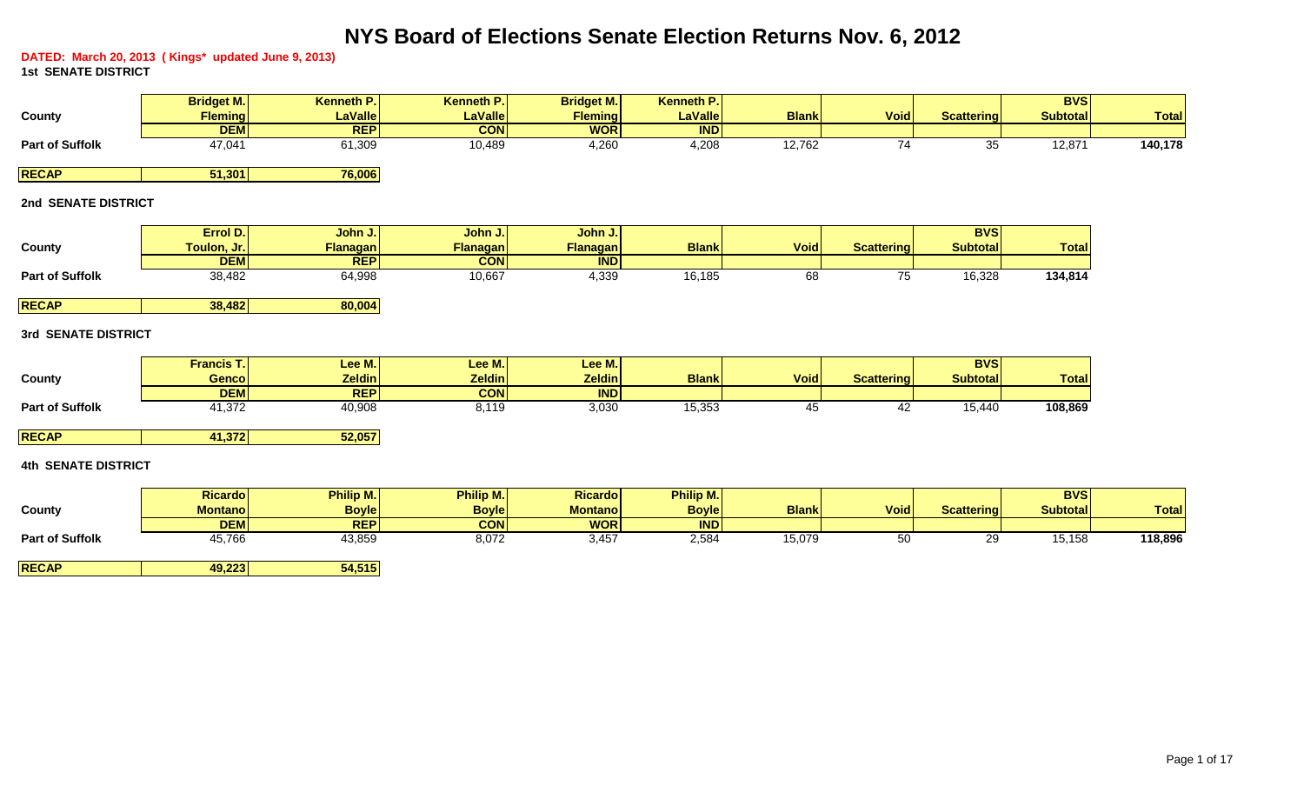# **NYS Board of Elections Senate Election Returns Nov. 6, 2012**

**DATED: March 20, 2013 ( Kings\* updated June 9, 2013) 1st SENATE DISTRICT**

|                        | <b>Bridget M.</b> | Kenneth P.     | <b>Kenneth P.</b> | <b>Bridget M.</b> | <b>Kenneth P.I.</b> |              |             |                   | <b>BVS</b>      |              |
|------------------------|-------------------|----------------|-------------------|-------------------|---------------------|--------------|-------------|-------------------|-----------------|--------------|
| County                 | <b>Fleming</b>    | <b>LaValle</b> | <b>LaValle</b>    | <b>Fleming</b>    | <b>LaValle</b>      | <b>Blank</b> | <b>Void</b> | <b>Scattering</b> | <b>Subtotal</b> | <b>Total</b> |
|                        | <b>DEMI</b>       | <b>REP</b>     | <b>CON</b>        | <b>WOR</b>        | <b>IND</b>          |              |             |                   |                 |              |
| <b>Part of Suffolk</b> | 47,041            | 61,309         | 10,489            | 4,260             | 4,208               | 12,762       |             | 35                | 12,871          | 140,178      |
|                        |                   |                |                   |                   |                     |              |             |                   |                 |              |
| <b>RECAP</b>           | 51,301            | 76,006         |                   |                   |                     |              |             |                   |                 |              |

## **2nd SENATE DISTRICT**

|                        | Errol D.      | John J.         | John J.         | John J.    |              |             |            | <b>BVS</b>      |               |
|------------------------|---------------|-----------------|-----------------|------------|--------------|-------------|------------|-----------------|---------------|
| County                 | Toulon, Jr. I | <b>Flanagan</b> | <b>Flanagan</b> | Flanagan   | <b>Blank</b> | <b>Void</b> | Scattering | <b>Subtotal</b> | <b>Totall</b> |
|                        | <b>DEM</b>    | <b>REP</b>      | <b>CON</b>      | <b>IND</b> |              |             |            |                 |               |
| <b>Part of Suffolk</b> | 38,482        | 64,998          | 10,667          | 4,339      | 16,185       | υo          |            | 16,328          | 134,814       |

**RECAP 38,482 80,004** 

# **3rd SENATE DISTRICT**

|                        | <b>Francis T.</b> | Lee M.        | Lee M.I       | Lee M.I       |                                        |             |                   | <b>BVSI</b>     |              |
|------------------------|-------------------|---------------|---------------|---------------|----------------------------------------|-------------|-------------------|-----------------|--------------|
| County                 | Gencol            | <b>Zeldin</b> | <b>Zeldin</b> | <b>Zeldin</b> | <b>Blank</b>                           | <b>Void</b> | <b>Scattering</b> | <b>Subtotal</b> | <b>Total</b> |
|                        | <b>DEM</b>        | <b>REP</b>    | <b>CON</b>    | <b>IND</b>    |                                        |             |                   |                 |              |
| <b>Part of Suffolk</b> | .372،             | 40,908        | 8,119         | 3,030         | $\epsilon$ - $\sim$ - $\sim$<br>15,353 |             | т.                | 15,440          | 108,869      |

**RECAP 41,372 52,057**

# **4th SENATE DISTRICT**

|                        | <b>Ricardo</b> | <b>Philip M.</b> | <b>Philip M.</b> | <b>Ricardo</b> | <b>Philip M.</b> |              |             |                   | <b>BVS</b>      |              |
|------------------------|----------------|------------------|------------------|----------------|------------------|--------------|-------------|-------------------|-----------------|--------------|
| County                 | Montanol       | <b>Boyle</b>     | <b>Boyle</b>     | <b>Montano</b> | <b>Boyle</b>     | <b>Blank</b> | <b>Void</b> | <b>Scattering</b> | <b>Subtotal</b> | <b>Total</b> |
|                        | <b>DEM</b>     | <b>REPI</b>      | <b>CON</b>       | <b>WOR</b>     | <b>IND</b>       |              |             |                   |                 |              |
| <b>Part of Suffolk</b> | 45,766         | 43,859           | 8,072            | 3,457          | 2,584            | 15,079       | 50          | or<br>ت           | 15,158          | 118,896      |
|                        |                |                  |                  |                |                  |              |             |                   |                 |              |

**RECAP 49,223 54,515**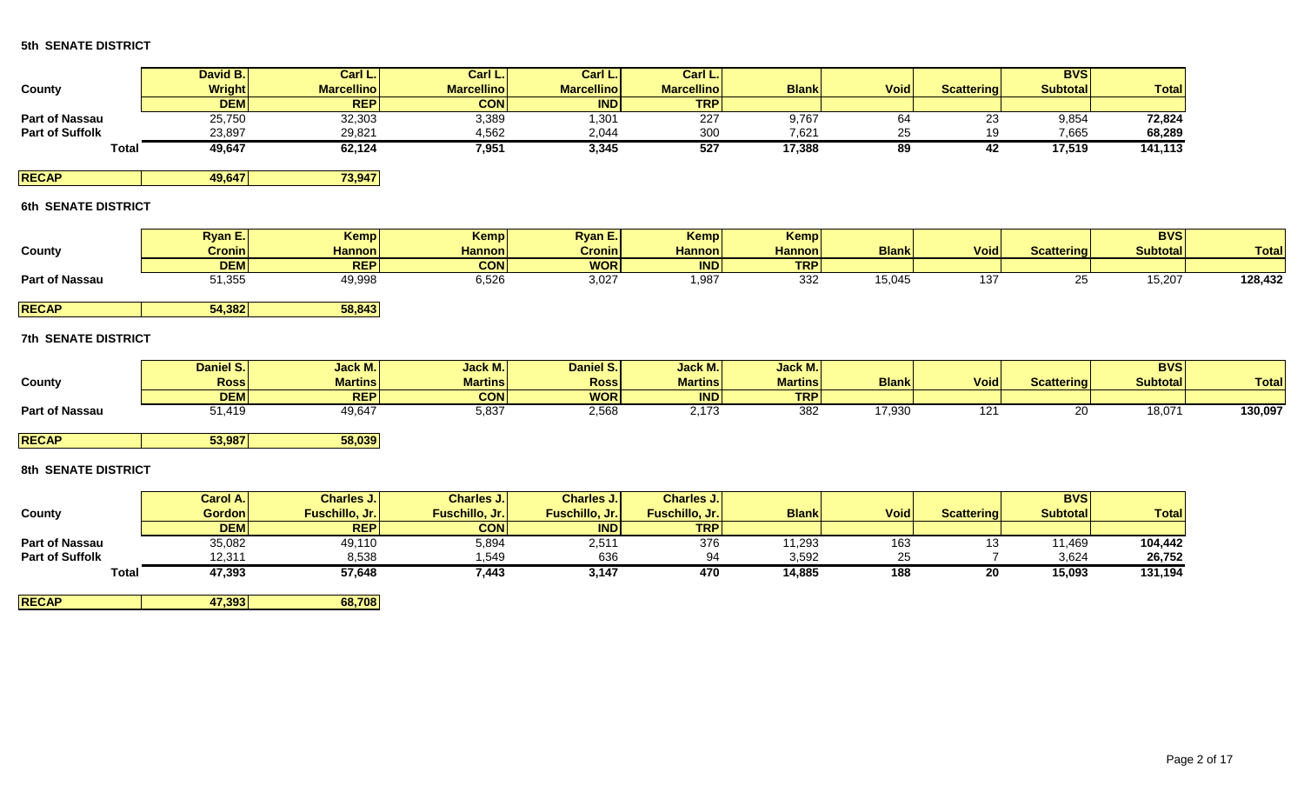|                        | David B.      | Carl L.           | Carl L.           | Carl L.           | Carl L.I          |              |             |                   | <b>BVS</b>       |              |
|------------------------|---------------|-------------------|-------------------|-------------------|-------------------|--------------|-------------|-------------------|------------------|--------------|
| County                 | <b>Wright</b> | <b>Marcellino</b> | <b>Marcellino</b> | <b>Marcellino</b> | <b>Marcellino</b> | <b>Blank</b> | <b>Void</b> | <b>Scattering</b> | <b>Subtotall</b> | <b>Total</b> |
|                        | <b>DEM</b>    | <b>REPI</b>       | <b>CON</b>        | <b>IND</b>        | <b>TRP</b>        |              |             |                   |                  |              |
| <b>Part of Nassau</b>  | 25,750        | 32,303            | 3,389             | ,301              | 227               | 9,767        | ບ∽          | ∠∪                | 9,854            | 72,824       |
| <b>Part of Suffolk</b> | 23,897        | 29,821            | 4,562             | 2,044             | 300               | 7,621        |             |                   | 7,665            | 68,289       |
| Tota.                  | 49,647        | 62,124            | 7,951             | 3,345             | 527               | 17,388       | ೦೮          | 44                | 17.519           | 141,113      |

**RECAP 49,647 73,947** 

# **6th SENATE DISTRICT**

|                       | <b>Ryan E.</b>  | <b>Kempl</b>  | <b>Kemp</b>   | <b>Ryan E.</b> | Kemp          | Kemp          |              |               |                   | <b>BVS</b>      |              |
|-----------------------|-----------------|---------------|---------------|----------------|---------------|---------------|--------------|---------------|-------------------|-----------------|--------------|
| County                | <b>Cronin</b>   | <b>Hannon</b> | <b>Hannon</b> | <b>Cronin</b>  | <b>Hannon</b> | <b>Hannon</b> | <b>Blank</b> | <b>Void</b>   | <b>Scattering</b> | <b>Subtotal</b> | <b>Total</b> |
|                       | <b>DEM</b>      | <b>REP</b>    | <b>CON</b>    | <b>WOR</b>     | <b>IND</b>    | <b>TRP</b>    |              |               |                   |                 |              |
| <b>Part of Nassau</b> | 1 つにに<br>ບ ∟ບບປ | 49,998        | 6,526         | 3,027          | ,98 ا         | 332           | 15,045       | u Oʻ<br>، ت ا |                   | 15,207          | 128,432      |
|                       |                 |               |               |                |               |               |              |               |                   |                 |              |

**RECAP 54,382 58,843**

# **7th SENATE DISTRICT**

|                       | Daniel S.I  | Jack M.        | <b>Jack M.</b> | Daniel S.   | Jack M.I                 | <b>Jack M.I</b> |              |             |                   | <b>BVS</b>      |              |
|-----------------------|-------------|----------------|----------------|-------------|--------------------------|-----------------|--------------|-------------|-------------------|-----------------|--------------|
| County                | <b>Ross</b> | <b>Martins</b> | <b>Martins</b> | <b>Ross</b> | <b>Martins</b>           | <b>Martins</b>  | <b>Blank</b> | <b>Void</b> | <b>Scattering</b> | <b>Subtotal</b> | <b>Total</b> |
|                       | <b>DEM</b>  | <b>REP</b>     | <b>CON</b>     | <b>WOR</b>  | <b>IND</b>               | <b>TRP</b>      |              |             |                   |                 |              |
| <b>Part of Nassau</b> | 1,419       | 49,647         | E 927<br>ບ,ບບ≀ | 2,568       | $\overline{\phantom{a}}$ | 382             | 17,930       |             |                   | 18,071          | 130,097      |

**RECAP 53,987 58,039**

## **8th SENATE DISTRICT**

|                        | Carol A.I     | <b>Charles J.I</b> | Charles J.            | <b>Charles J.I</b> | <b>Charles J.I</b> |              |             |                   | <b>BVS</b>      |              |
|------------------------|---------------|--------------------|-----------------------|--------------------|--------------------|--------------|-------------|-------------------|-----------------|--------------|
| County                 | <b>Gordon</b> | Fuschillo, Jr.     | <b>Fuschillo, Jr.</b> | Fuschillo, Jr.     | Fuschillo, Jr.     | <b>Blank</b> | <b>Void</b> | <b>Scattering</b> | <b>Subtotal</b> | <b>Total</b> |
|                        | <b>DEMI</b>   | <b>REP</b>         | <b>CON</b>            | <b>IND</b>         | <b>TRP</b>         |              |             |                   |                 |              |
| <b>Part of Nassau</b>  | 35,082        | 49,110             | 5,894                 | 2,511              | 376                | 11,293       | 163         |                   | 1,469           | 104,442      |
| <b>Part of Suffolk</b> | 12,311        | 8,538              | 1,549                 | 636                | 94                 | 3,592        | 25          |                   | 3,624           | 26,752       |
| Total                  | 47,393        | 57,648             | 7,443                 | 3,147              | 470                | 14,885       | 188         | 20                | 15,093          | 131,194      |

**RECAP 47,393 68,708**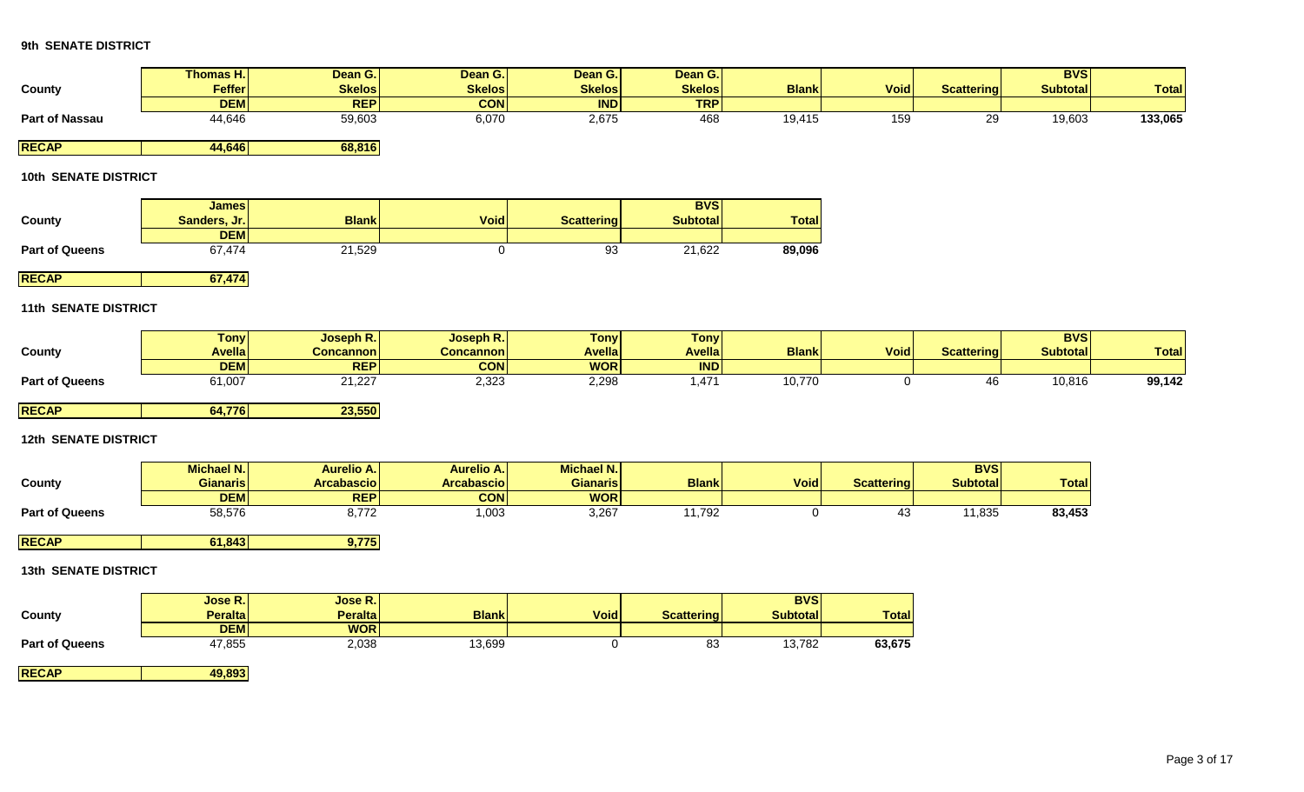|                             | <b>Thomas H.</b>           | Dean G.           | Dean G.           | Dean G.           | Dean G.           |                 |                   |                   | <b>BVS</b>      |              |
|-----------------------------|----------------------------|-------------------|-------------------|-------------------|-------------------|-----------------|-------------------|-------------------|-----------------|--------------|
| County                      | Feffer                     | <b>Skelos</b>     | <b>Skelos</b>     | <b>Skelos</b>     | <b>Skelos</b>     | <b>Blank</b>    | <b>Void</b>       | <b>Scattering</b> | <b>Subtotal</b> | <b>Total</b> |
|                             | <b>DEM</b>                 | <b>REP</b>        | <b>CON</b>        | <b>IND</b>        | <b>TRP</b>        |                 |                   |                   |                 |              |
| <b>Part of Nassau</b>       | 44,646                     | 59,603            | 6,070             | 2,675             | 468               | 19,415          | 159               | 29                | 19,603          | 133,065      |
|                             |                            |                   |                   |                   |                   |                 |                   |                   |                 |              |
| <b>RECAP</b>                | 44,646                     | 68,816            |                   |                   |                   |                 |                   |                   |                 |              |
| <b>10th SENATE DISTRICT</b> |                            |                   |                   |                   |                   |                 |                   |                   |                 |              |
|                             |                            |                   |                   |                   |                   |                 |                   |                   |                 |              |
|                             | <b>James</b>               |                   |                   |                   | <b>BVS</b>        |                 |                   |                   |                 |              |
| County                      | Sanders, Jr.<br><b>DEM</b> | <b>Blank</b>      | <b>Void</b>       | <b>Scattering</b> | <b>Subtotal</b>   | <b>Total</b>    |                   |                   |                 |              |
| <b>Part of Queens</b>       | 67,474                     | 21,529            | $\mathbf 0$       | 93                | 21,622            | 89,096          |                   |                   |                 |              |
|                             |                            |                   |                   |                   |                   |                 |                   |                   |                 |              |
| <b>RECAP</b>                | 67,474                     |                   |                   |                   |                   |                 |                   |                   |                 |              |
|                             |                            |                   |                   |                   |                   |                 |                   |                   |                 |              |
| <b>11th SENATE DISTRICT</b> |                            |                   |                   |                   |                   |                 |                   |                   |                 |              |
|                             | <b>Tony</b>                | Joseph R.         | Joseph R.         | <b>Tony</b>       | <b>Tony</b>       |                 |                   |                   | <b>BVS</b>      |              |
| County                      | <b>Avella</b>              | <b>Concannon</b>  | <b>Concannon</b>  | <b>Avella</b>     | <b>Avella</b>     | <b>Blank</b>    | <b>Void</b>       | <b>Scattering</b> | <b>Subtotal</b> | <b>Total</b> |
|                             | <b>DEM</b>                 | <b>REP</b>        | <b>CON</b>        | <b>WOR</b>        | IND               |                 |                   |                   |                 |              |
| <b>Part of Queens</b>       | 61,007                     | 21,227            | 2,323             | 2,298             | 1,471             | 10,770          | $\mathbf 0$       | 46                | 10,816          | 99,142       |
|                             |                            |                   |                   |                   |                   |                 |                   |                   |                 |              |
| <b>RECAP</b>                | 64,776                     | 23,550            |                   |                   |                   |                 |                   |                   |                 |              |
| <b>12th SENATE DISTRICT</b> |                            |                   |                   |                   |                   |                 |                   |                   |                 |              |
|                             |                            |                   |                   |                   |                   |                 |                   |                   |                 |              |
|                             | <b>Michael N.</b>          | <b>Aurelio A.</b> | <b>Aurelio A.</b> | Michael N.        |                   |                 |                   | <b>BVS</b>        |                 |              |
| <b>County</b>               | <b>Gianaris</b>            | <b>Arcabascio</b> | <b>Arcabascio</b> | <b>Gianaris</b>   | <b>Blank</b>      | <b>Void</b>     | <b>Scattering</b> | <b>Subtotal</b>   | <b>Total</b>    |              |
|                             | <b>DEM</b>                 | <b>REP</b>        | <b>CON</b>        | <b>WOR</b>        |                   |                 |                   |                   |                 |              |
| <b>Part of Queens</b>       | 58,576                     | 8,772             | 1,003             | 3,267             | 11,792            | 0               | 43                | 11,835            | 83,453          |              |
| <b>RECAP</b>                | 61,843                     | 9,775             |                   |                   |                   |                 |                   |                   |                 |              |
|                             |                            |                   |                   |                   |                   |                 |                   |                   |                 |              |
| <b>13th SENATE DISTRICT</b> |                            |                   |                   |                   |                   |                 |                   |                   |                 |              |
|                             |                            |                   |                   |                   |                   |                 |                   |                   |                 |              |
|                             | Jose R.                    | Jose R.           |                   |                   |                   | <b>BVS</b>      |                   |                   |                 |              |
| County                      | <b>Peralta</b>             | <b>Peralta</b>    | <b>Blank</b>      | Void              | <b>Scattering</b> | <b>Subtotal</b> | <b>Total</b>      |                   |                 |              |
|                             | <b>DEM</b>                 | <b>WOR</b>        |                   |                   |                   |                 |                   |                   |                 |              |
| <b>Part of Queens</b>       | 47,855                     | 2,038             | 13,699            | $\mathbf 0$       | 83                | 13,782          | 63,675            |                   |                 |              |

**RECAP 49,893**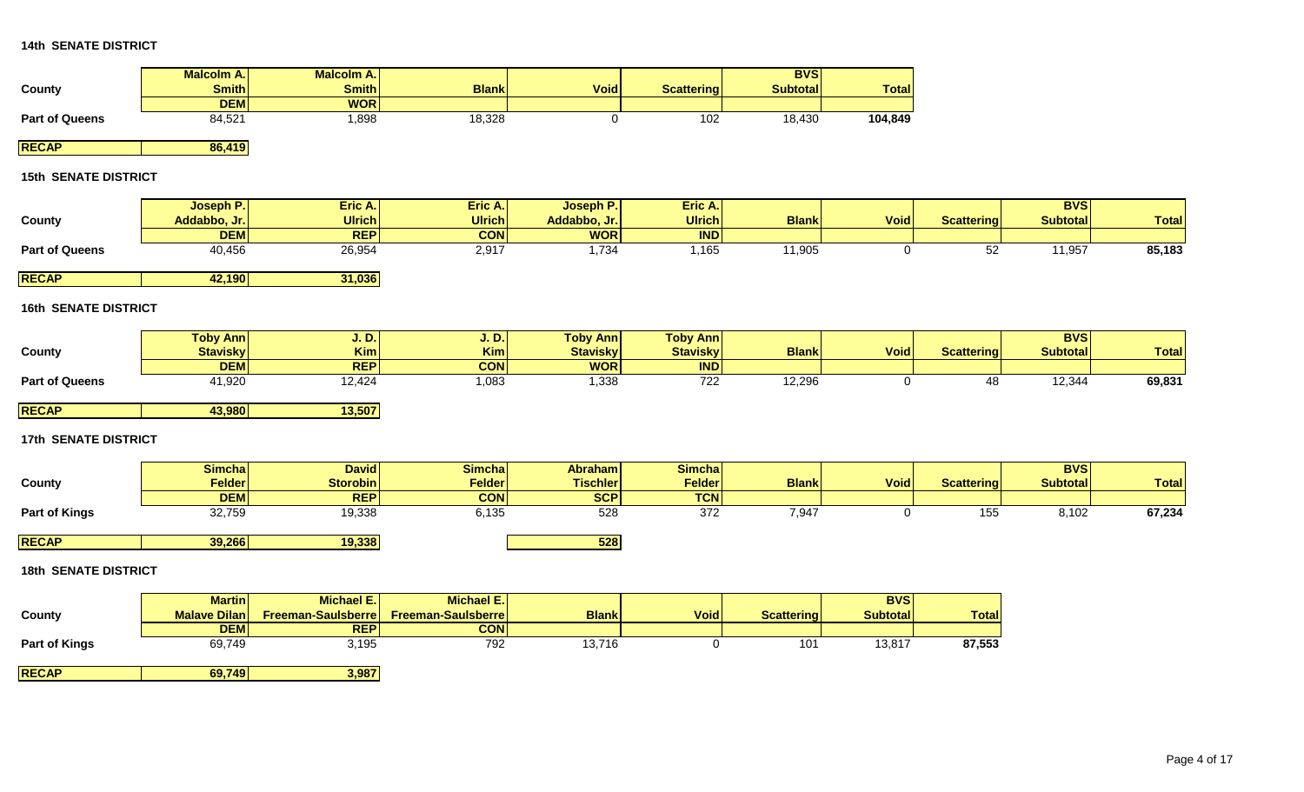|                             | Malcolm A.          | <b>Malcolm A.</b>  |                           |                   |                   | <b>BVS</b>        |                 |                   |                 |              |
|-----------------------------|---------------------|--------------------|---------------------------|-------------------|-------------------|-------------------|-----------------|-------------------|-----------------|--------------|
| County                      | <b>Smith</b>        | <b>Smith</b>       | <b>Blank</b>              | <b>Void</b>       | <b>Scattering</b> | <b>Subtotal</b>   | <b>Total</b>    |                   |                 |              |
|                             | <b>DEM</b>          | <b>WOR</b>         |                           |                   |                   |                   |                 |                   |                 |              |
| <b>Part of Queens</b>       | 84,521              | 1,898              | 18,328                    | 0                 | 102               | 18,430            | 104,849         |                   |                 |              |
| <b>RECAP</b>                | 86,419              |                    |                           |                   |                   |                   |                 |                   |                 |              |
| <b>15th SENATE DISTRICT</b> |                     |                    |                           |                   |                   |                   |                 |                   |                 |              |
|                             | Joseph P.           | Eric A.            | Eric A.                   | Joseph P.         | Eric A.           |                   |                 |                   | <b>BVS</b>      |              |
| County                      | Addabbo, Jr.        | Ulrich             | <b>Ulrich</b>             | Addabbo, Jr.      | <b>Ulrich</b>     | <b>Blank</b>      | <b>Void</b>     | <b>Scattering</b> | <b>Subtotal</b> | <b>Total</b> |
|                             | <b>DEM</b>          | <b>REP</b>         | <b>CON</b>                | <b>WOR</b>        | IND               |                   |                 |                   |                 |              |
| <b>Part of Queens</b>       | 40,456              | 26,954             | 2,917                     | 1,734             | 1,165             | 11,905            | $\mathbf 0$     | 52                | 11,957          | 85,183       |
| <b>RECAP</b>                | 42,190              | 31,036             |                           |                   |                   |                   |                 |                   |                 |              |
| <b>16th SENATE DISTRICT</b> |                     |                    |                           |                   |                   |                   |                 |                   |                 |              |
|                             |                     |                    |                           |                   |                   |                   |                 |                   |                 |              |
|                             | <b>Toby Ann</b>     | <b>J.D.</b>        | <b>J.D.</b>               | <b>Toby Ann</b>   | <b>Toby Ann</b>   |                   |                 |                   | <b>BVS</b>      |              |
| County                      | <b>Stavisky</b>     | <b>Kim</b>         | Kim                       | <b>Stavisky</b>   | <b>Stavisky</b>   | <b>Blank</b>      | <b>Void</b>     | <b>Scattering</b> | <b>Subtotal</b> | <b>Total</b> |
|                             | <b>DEM</b>          | <b>REP</b>         | <b>CON</b>                | <b>WOR</b>        | <b>IND</b>        |                   |                 |                   |                 |              |
| <b>Part of Queens</b>       | 41,920              | 12,424             | 1,083                     | 1,338             | 722               | 12,296            | $\overline{0}$  | 48                | 12,344          | 69,831       |
| <b>RECAP</b>                | 43,980              | 13,507             |                           |                   |                   |                   |                 |                   |                 |              |
| <b>17th SENATE DISTRICT</b> |                     |                    |                           |                   |                   |                   |                 |                   |                 |              |
|                             |                     |                    |                           |                   |                   |                   |                 |                   |                 |              |
|                             | <b>Simcha</b>       | <b>David</b>       | <b>Simcha</b>             | <b>Abraham</b>    | <b>Simcha</b>     |                   |                 |                   | <b>BVS</b>      |              |
| County                      | <b>Felder</b>       | <b>Storobin</b>    | <b>Felder</b>             | <b>Tischler</b>   | <b>Felder</b>     | <b>Blank</b>      | <b>Void</b>     | <b>Scattering</b> | <b>Subtotal</b> | <b>Total</b> |
|                             | <b>DEM</b>          | <b>REP</b>         | <b>CON</b><br>6,135       | <b>SCP</b><br>528 | <b>TCN</b><br>372 | 7,947             |                 | 155               | 8,102           | 67,234       |
| <b>Part of Kings</b>        | 32,759              | 19,338             |                           |                   |                   |                   | $\mathsf{O}$    |                   |                 |              |
| <b>RECAP</b>                | 39,266              | 19,338             |                           | 528               |                   |                   |                 |                   |                 |              |
| <b>18th SENATE DISTRICT</b> |                     |                    |                           |                   |                   |                   |                 |                   |                 |              |
|                             | <b>Martin</b>       | <b>Michael E.</b>  | Michael E.                |                   |                   |                   | <b>BVS</b>      |                   |                 |              |
| County                      | <b>Malave Dilan</b> | Freeman-Saulsberre | <b>Freeman-Saulsberre</b> | <b>Blank</b>      | <b>Void</b>       | <b>Scattering</b> | <b>Subtotal</b> | <b>Total</b>      |                 |              |
|                             | <b>DEM</b>          | <b>REP</b>         | <b>CON</b>                |                   |                   |                   |                 |                   |                 |              |
| <b>Part of Kings</b>        | 69,749              | 3,195              | 792                       | 13,716            | $\mathbf 0$       | 101               | 13,817          | 87,553            |                 |              |
|                             |                     |                    |                           |                   |                   |                   |                 |                   |                 |              |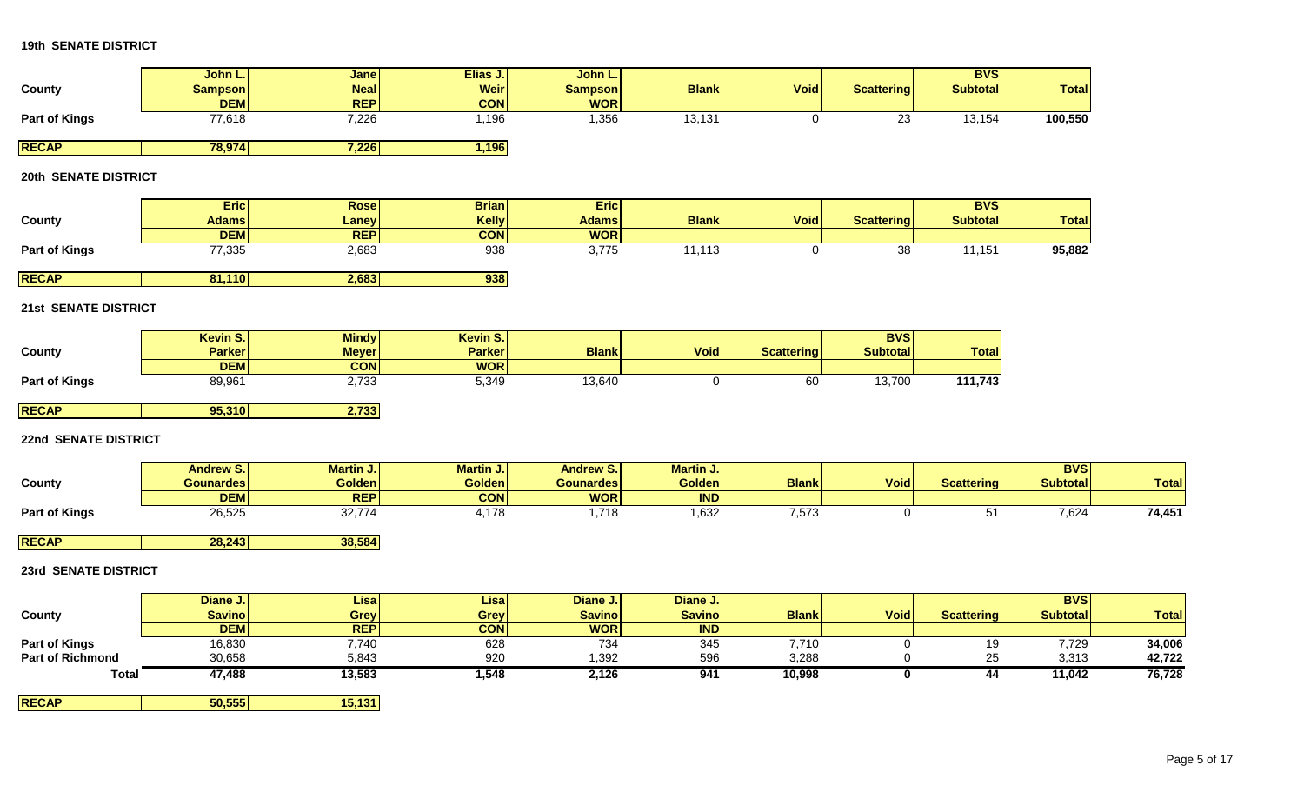|                      | John L.          | Jane          | Elias J.         | John L.          |                  |              |                   | <b>BVS</b>        |                 |
|----------------------|------------------|---------------|------------------|------------------|------------------|--------------|-------------------|-------------------|-----------------|
| County               | <b>Sampson</b>   | <b>Neal</b>   | <b>Weir</b>      | <b>Sampson</b>   | <b>Blank</b>     | <b>Void</b>  | <b>Scattering</b> | <b>Subtotal</b>   | <b>Total</b>    |
|                      | <b>DEM</b>       | <b>REP</b>    | <b>CON</b>       | <b>WOR</b>       |                  |              |                   |                   |                 |
| <b>Part of Kings</b> | 77,618           | 7,226         | 1,196            | 1,356            | 13,131           | 0            | $\overline{23}$   | 13,154            | 100,550         |
|                      |                  |               |                  |                  |                  |              |                   |                   |                 |
| <b>RECAP</b>         | 78,974           | 7,226         | 1,196            |                  |                  |              |                   |                   |                 |
| 20th SENATE DISTRICT |                  |               |                  |                  |                  |              |                   |                   |                 |
|                      |                  |               |                  |                  |                  |              |                   |                   |                 |
|                      | <b>Eric</b>      | <b>Rose</b>   | <b>Brian</b>     | <b>Eric</b>      |                  |              |                   | <b>BVS</b>        |                 |
| County               | <b>Adams</b>     | <b>Laney</b>  | <b>Kelly</b>     | <b>Adams</b>     | <b>Blank</b>     | <b>Void</b>  | <b>Scattering</b> | <b>Subtotal</b>   | <b>Total</b>    |
|                      | <b>DEM</b>       | <b>REP</b>    | <b>CON</b>       | <b>WOR</b>       |                  |              |                   |                   |                 |
| <b>Part of Kings</b> | 77,335           | 2,683         | 938              | 3,775            | 11,113           | 0            | 38                | 11,151            | 95,882          |
|                      |                  |               |                  |                  |                  |              |                   |                   |                 |
| <b>RECAP</b>         | 81,110           | 2,683         | 938              |                  |                  |              |                   |                   |                 |
| 21st SENATE DISTRICT |                  |               |                  |                  |                  |              |                   |                   |                 |
|                      | Kevin S.         | <b>Mindy</b>  | Kevin S.         |                  |                  |              | <b>BVS</b>        |                   |                 |
| County               | <b>Parker</b>    | <b>Meyer</b>  | <b>Parker</b>    | <b>Blank</b>     | <b>Void</b>      | Scattering   | <b>Subtotal</b>   | <b>Total</b>      |                 |
|                      | <b>DEM</b>       | <b>CON</b>    | <b>WOR</b>       |                  |                  |              |                   |                   |                 |
| <b>Part of Kings</b> | 89,961           | 2,733         | 5,349            | 13,640           | 0                | 60           | 13,700            | 111,743           |                 |
| <b>RECAP</b>         | 95,310           | 2,733         |                  |                  |                  |              |                   |                   |                 |
|                      |                  |               |                  |                  |                  |              |                   |                   |                 |
| 22nd SENATE DISTRICT |                  |               |                  |                  |                  |              |                   |                   |                 |
|                      | <b>Andrew S.</b> | Martin J.     | <b>Martin J.</b> | <b>Andrew S.</b> | <b>Martin J.</b> |              |                   |                   | <b>BVS</b>      |
| County               | <b>Gounardes</b> | <b>Golden</b> | <b>Golden</b>    | <b>Gounardes</b> | <b>Golden</b>    | <b>Blank</b> | <b>Void</b>       | <b>Scattering</b> | <b>Subtotal</b> |
|                      | <b>DEM</b>       | <b>REP</b>    | <b>CON</b>       | <b>WOR</b>       | <b>IND</b>       |              |                   |                   |                 |
| <b>Part of Kings</b> | 26,525           | 32,774        | 4,178            | 1,718            | 1,632            | 7,573        | 0                 | 51                | 7,624           |

**RECAP 28,243 38,584**

# **23rd SENATE DISTRICT**

|                         | Diane J.      | <b>Lisa</b> | <b>Lisa</b> | Diane J.      | Diane J.      |              |             |                   | <b>BVSI</b>     |              |
|-------------------------|---------------|-------------|-------------|---------------|---------------|--------------|-------------|-------------------|-----------------|--------------|
| County                  | <b>Savino</b> | Grevl       | Grey        | <b>Savino</b> | <b>Savino</b> | <b>Blank</b> | <b>Void</b> | <b>Scattering</b> | <b>Subtotal</b> | <b>Total</b> |
|                         | <b>DEMI</b>   | <b>REP</b>  | <b>CON</b>  | <b>WOR</b>    | <b>IND</b>    |              |             |                   |                 |              |
| <b>Part of Kings</b>    | 16,830        | 7,740       | 628         | 734           | 345           | 7,710        |             | 19                | 7,729           | 34,006       |
| <b>Part of Richmond</b> | 30,658        | 5,843       | 920         | 1,392         | 596           | 3,288        |             | 25                | 3,313           | 42,722       |
| <b>Total</b>            | 47,488        | 13,583      | 1,548       | 2,126         | 941           | 10,998       |             | 44                | 11,042          | 76,728       |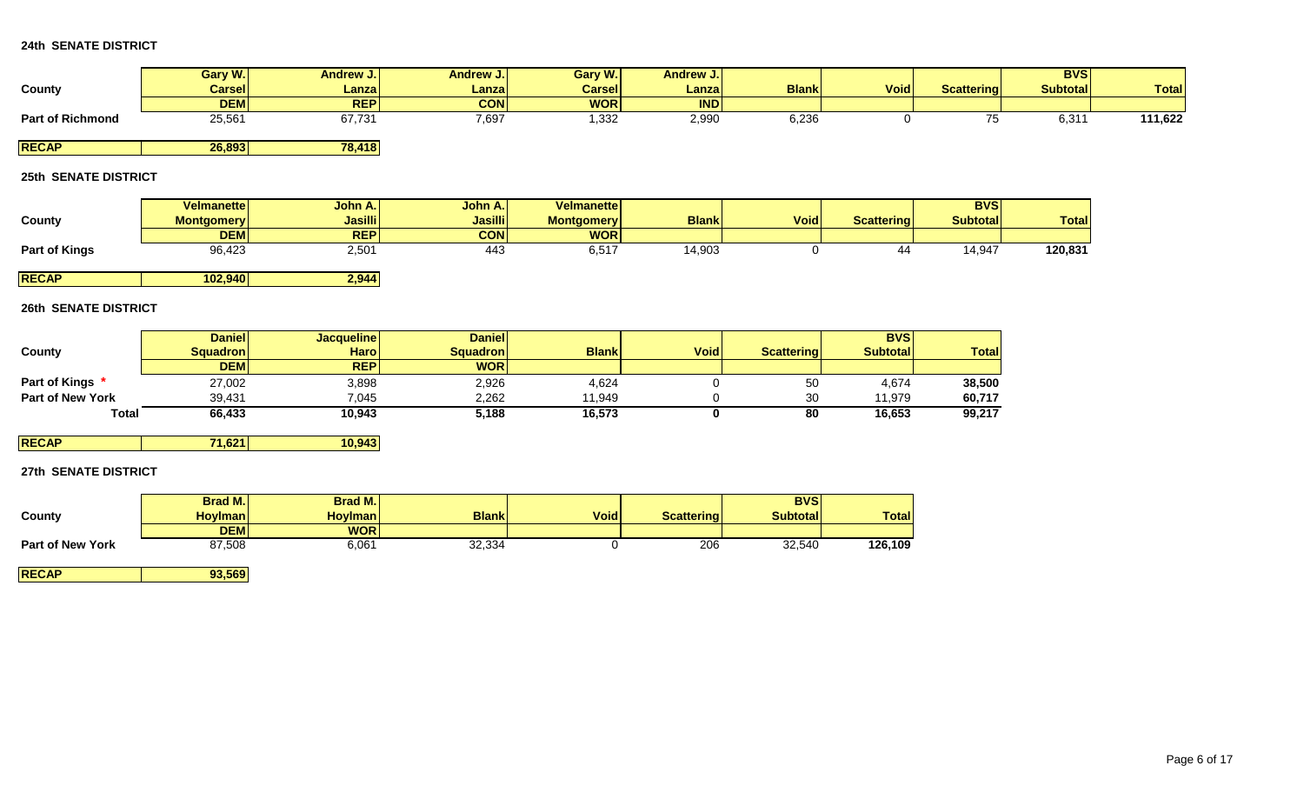|                         | Gary W.       | <b>Andrew J.</b> | Andrew J.I | Gary W.       | Andrew J.  |              |             |                   | <b>BVS</b>      |              |
|-------------------------|---------------|------------------|------------|---------------|------------|--------------|-------------|-------------------|-----------------|--------------|
| County                  | <b>Carsel</b> | Lanzal           | Lanza      | <b>Carsel</b> | Lanzal     | <b>Blank</b> | <b>Void</b> | <b>Scattering</b> | <b>Subtotal</b> | <b>Total</b> |
|                         | <b>DEM</b>    | <b>REP</b>       | <b>CON</b> | <b>WOR</b>    | <b>IND</b> |              |             |                   |                 |              |
| <b>Part of Richmond</b> | 25,561        | 67,731           | 7,697      | 1,332         | 2,990      | 6,236        |             | . J               | 6,31            | 111,622      |
|                         |               |                  |            |               |            |              |             |                   |                 |              |

**RECAP 26,893 78,418**

# **25th SENATE DISTRICT**

| <b>Total</b> | <b>BVS</b>      |                   |             |              | <b>Velmanette</b> | John A.I       | John A.I       | Velmanettel       |                      |
|--------------|-----------------|-------------------|-------------|--------------|-------------------|----------------|----------------|-------------------|----------------------|
|              | <b>Subtotal</b> | <b>Scattering</b> | <b>Void</b> | <b>Blank</b> | <b>Montgomery</b> | <b>Jasilli</b> | <b>Jasilli</b> | <b>Montgomery</b> | County               |
|              |                 |                   |             |              | <b>WOR</b>        | <b>CON</b>     | <b>REPI</b>    | <b>DEM</b>        |                      |
| 120,831      | 14,947          | 44                |             | 14,903       | 6,517             | 443            | 2,501          | 96,423            | <b>Part of Kings</b> |
|              |                 |                   |             |              |                   |                |                |                   |                      |
|              |                 |                   |             |              |                   |                | .              | .                 | _ _ _ _ _            |

**RECAP 102,940 2,944**

## **26th SENATE DISTRICT**

|                         | <b>Daniel</b> | <b>Jacquelinel</b> | <b>Daniel</b> |              |             |                   | <b>BVS</b>      |        |
|-------------------------|---------------|--------------------|---------------|--------------|-------------|-------------------|-----------------|--------|
| County                  | Squadronl     | <b>Haro</b>        | Squadron      | <b>Blank</b> | <b>Void</b> | <b>Scattering</b> | <b>Subtotal</b> | Totall |
|                         | <b>DEM</b>    | <b>REP</b>         | <b>WOR</b>    |              |             |                   |                 |        |
| Part of Kings           | 27,002        | 3,898              | 2,926         | 4,624        |             | 50                | 4,674           | 38,500 |
| <b>Part of New York</b> | 39.431        | 7,045              | 2,262         | 11.949       |             | 30                | 11.979          | 60,717 |
| Total                   | 66,433        | 10.943             | 5,188         | 16,573       |             | 80                | 16,653          | 99,217 |

**RECAP 71,621 10,943**

# **27th SENATE DISTRICT**

|                         | <b>Brad M.I</b> | <b>Brad M.</b> |              |             |                   | <b>BVS</b>      |              |
|-------------------------|-----------------|----------------|--------------|-------------|-------------------|-----------------|--------------|
| County                  | <b>Hovimani</b> | <b>Hoylman</b> | <b>Blank</b> | <b>Void</b> | <b>Scattering</b> | <b>Subtotal</b> | <b>Total</b> |
|                         | <b>DEM</b>      | <b>WOR</b>     |              |             |                   |                 |              |
| <b>Part of New York</b> | 87,508          | 6,061          | 32,334       |             | 206               | 32,540          | 126,109      |

**RECAP 93,569**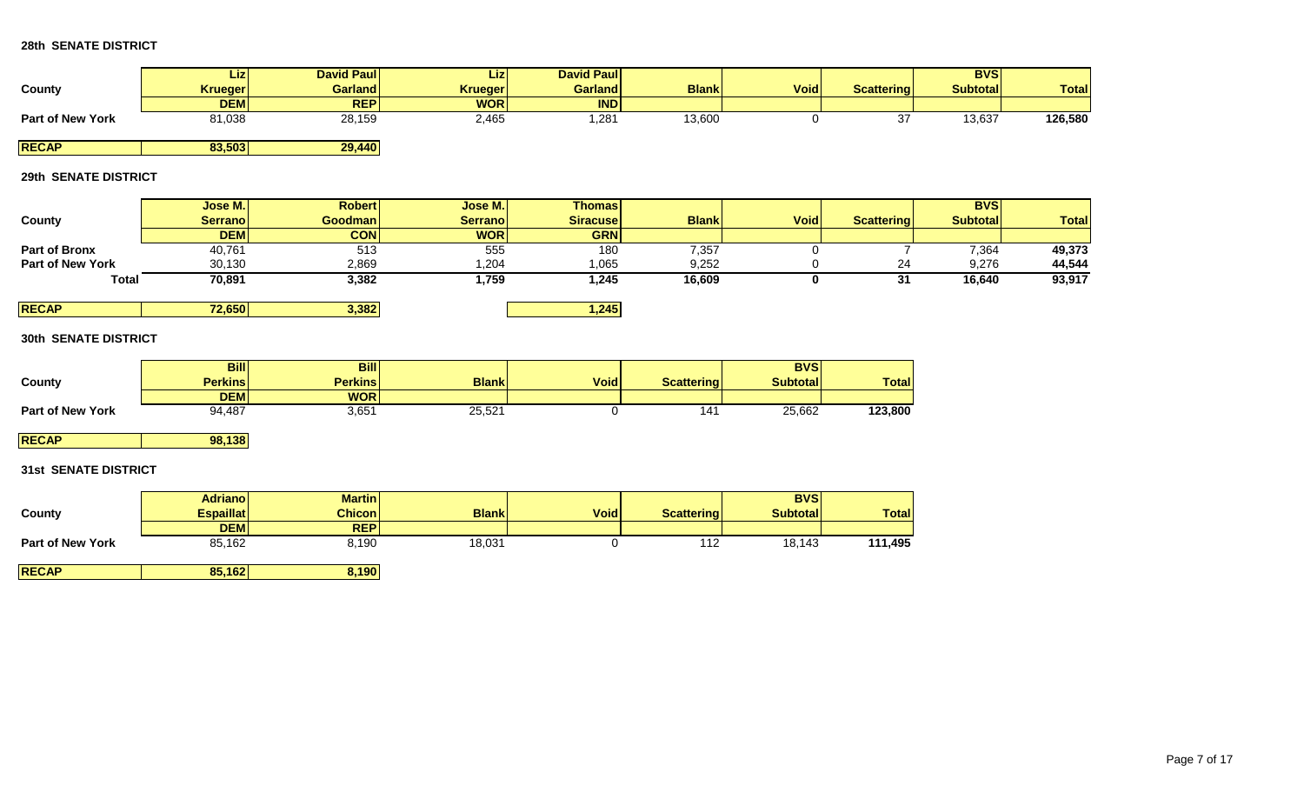|                         | Liz <b>l</b>   | <b>David Paull</b> | Lizl           | <b>David Paull</b> |              |             |            | <b>BVS</b>      |              |
|-------------------------|----------------|--------------------|----------------|--------------------|--------------|-------------|------------|-----------------|--------------|
| County                  | <b>Krueger</b> | Garland            | <b>Krueger</b> | <b>Garland</b>     | <b>Blank</b> | <b>Void</b> | Scattering | <b>Subtotal</b> | <b>Total</b> |
|                         | <b>DEM</b>     | <b>REP</b>         | <b>WOR</b>     | <b>IND</b>         |              |             |            |                 |              |
| <b>Part of New York</b> | 81,038         | 28,159             | 2,465          | 281,               | 13,600       |             | ັັ         | 13,637          | 126,580      |
|                         |                |                    |                |                    |              |             |            |                 |              |

**RECAP 83,503 29,440**

# **29th SENATE DISTRICT**

|                         | Jose M.         | <b>Robert</b>  | Jose M.         | <b>Thomas</b>   |              |             |                   | <b>BVS</b>      |              |
|-------------------------|-----------------|----------------|-----------------|-----------------|--------------|-------------|-------------------|-----------------|--------------|
| County                  | <b>Serranol</b> | <b>Goodman</b> | <b>Serranol</b> | <b>Siracuse</b> | <b>Blank</b> | <b>Void</b> | <b>Scattering</b> | <b>Subtotal</b> | <b>Total</b> |
|                         | <b>DEM</b>      | <b>CON</b>     | <b>WOR</b>      | <b>GRN</b>      |              |             |                   |                 |              |
| <b>Part of Bronx</b>    | 40,761          | 513            | 555             | 180             | 7,357        |             |                   | 7,364           | 49,373       |
| <b>Part of New York</b> | 30,130          | 2,869          | ,204            | 1,065           | 9,252        |             | 24                | 9,276           | 44,544       |
| <b>Total</b>            | 70,891          | 3,382          | 759,ا           | 1,245           | 16,609       |             | 31                | 16,640          | 93,917       |
|                         |                 |                |                 |                 |              |             |                   |                 |              |
| <b>RECAP</b>            | 72,650          | 3,382          |                 | 1,245           |              |             |                   |                 |              |

## **30th SENATE DISTRICT**

|                         | <b>Bill</b> | <b>Bill</b>    |              |             |                   | <b>BVS</b>      |              |
|-------------------------|-------------|----------------|--------------|-------------|-------------------|-----------------|--------------|
| County                  | Perkinsl    | <b>Perkins</b> | <b>Blank</b> | <b>Void</b> | <b>Scattering</b> | <b>Subtotal</b> | <b>Total</b> |
|                         | <b>DEM</b>  | <b>WOR</b>     |              |             |                   |                 |              |
| <b>Part of New York</b> | 94,487      | 3,651          | 25,521       |             | 141               | 25,662          | 123,800      |

**RECAP 98,138** 

# **31st SENATE DISTRICT**

| County                  | <b>Adrianol</b><br><b>Espaillat</b> | <b>Martin</b><br><b>Chicon</b> | <b>Blank</b> | <b>Void</b> | <b>Scattering</b> | <b>BVS</b><br><b>Subtotall</b> | <b>Total</b> |
|-------------------------|-------------------------------------|--------------------------------|--------------|-------------|-------------------|--------------------------------|--------------|
| <b>Part of New York</b> | <b>DEMI</b><br>85,162               | <b>REP</b><br>8,190            | 18,031       |             | 112               | 18,143                         | 111,495      |
| <b>RECAP</b>            | 85,162                              | 8,190                          |              |             |                   |                                |              |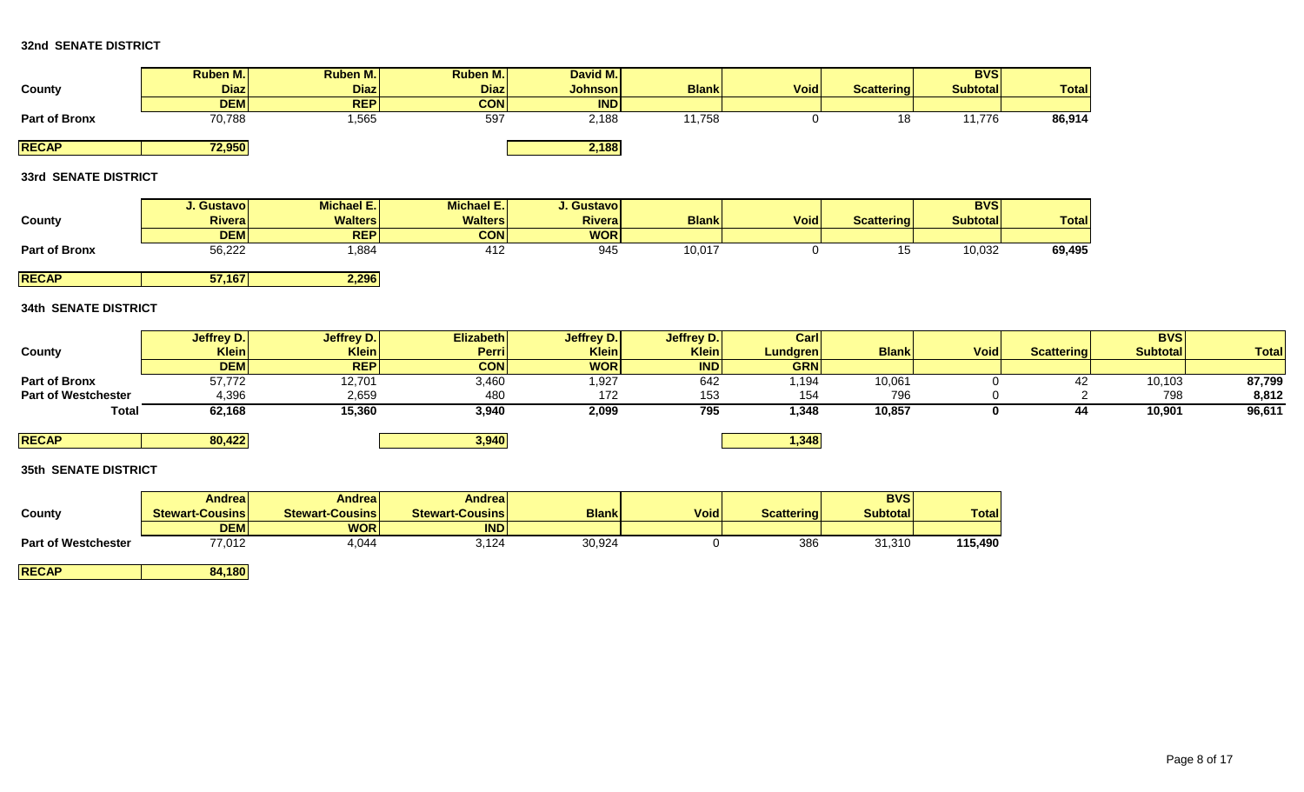# **32nd SENATE DISTRICT**

|               | <b>Ruben M.</b> | Ruben M.    | <b>Ruben M.</b> | David M.       |              |             |                   | <b>BVSI</b>     |              |
|---------------|-----------------|-------------|-----------------|----------------|--------------|-------------|-------------------|-----------------|--------------|
| County        | <b>Diaz</b>     | <b>Diaz</b> | <b>Diaz</b>     | <b>Johnson</b> | <b>Blank</b> | <b>Void</b> | <b>Scattering</b> | <b>Subtotal</b> | <b>Total</b> |
|               | <b>DEMI</b>     | <b>REP</b>  | <b>CON</b>      | <b>IND</b>     |              |             |                   |                 |              |
| Part of Bronx | 70,788          | l,565       | 597             | 2,188          | 1,758        |             | 18                | 11,776          | 86,914       |
|               |                 |             |                 |                |              |             |                   |                 |              |
| <b>RECAP</b>  | 72,950          |             |                 | 2,188          |              |             |                   |                 |              |

# **33rd SENATE DISTRICT**

|                      | J. Gustavol    | <b>Michael E.I.</b> | <b>Michael E.I</b> | J. Gustavol    |              |             |            | <b>BVSI</b>      |              |
|----------------------|----------------|---------------------|--------------------|----------------|--------------|-------------|------------|------------------|--------------|
| County               | <b>Riveral</b> | <b>Walters</b>      | <b>Walters</b>     | <b>Riveral</b> | <b>Blank</b> | <b>Void</b> | Scattering | <b>Subtotall</b> | <b>Total</b> |
|                      | <b>DEM</b>     | <b>REPI</b>         | <b>CON</b>         | <b>WOR</b>     |              |             |            |                  |              |
| <b>Part of Bronx</b> | 56,222         | ,884                | 412                | 945            | 10,017       |             | ∪י         | 10,032           | 69,495       |
|                      |                |                     |                    |                |              |             |            |                  |              |

**RECAP 57,167 2,296**

## **34th SENATE DISTRICT**

|                            | Jeffrey D. | Jeffrey D.   | Elizabeth     | Jeffrey D. | Jeffrey D. | Carl            |              |             |                   | <b>BVS</b>      |              |
|----------------------------|------------|--------------|---------------|------------|------------|-----------------|--------------|-------------|-------------------|-----------------|--------------|
| County                     | Klein      | <b>Klein</b> | <b>Perril</b> | Klein      | Klein      | <b>Lundgren</b> | <b>Blank</b> | <b>Void</b> | <b>Scattering</b> | <b>Subtotal</b> | <b>Total</b> |
|                            | <b>DEM</b> | <b>REP</b>   | <b>CON</b>    | <b>WOR</b> | <b>IND</b> | <b>GRN</b>      |              |             |                   |                 |              |
| Part of Bronx              | 57,772     | 12,701       | 3,460         | 1,927      | 642        | i,194           | 10,061       |             |                   | 10,103          | 87,799       |
| <b>Part of Westchester</b> | 4,396      | 2,659        | 480           | 172        | 153        | 154             | 796          |             |                   | 798             | 8,812        |
| <b>Total</b>               | 62,168     | 15,360       | 3,940         | 2,099      | 795        | 1,348           | 10,857       |             |                   | 10,901          | 96,611       |
|                            |            |              |               |            |            |                 |              |             |                   |                 |              |
| <b>RECAP</b>               | 80,422     |              | 3,940         |            |            | 1,348           |              |             |                   |                 |              |

### **35th SENATE DISTRICT**

|                            | Andreal                | Andreal                | <b>Andreal</b>          |              |             |                   | <b>BVS</b>      |              |
|----------------------------|------------------------|------------------------|-------------------------|--------------|-------------|-------------------|-----------------|--------------|
| County                     | <b>Stewart-Cousins</b> | <b>Stewart-Cousins</b> | <b>Stewart-Cousinsi</b> | <b>Blank</b> | <b>Void</b> | <b>Scattering</b> | <b>Subtotal</b> | <b>Total</b> |
|                            | <b>DEMI</b>            | <b>WOR</b>             | <b>IND</b>              |              |             |                   |                 |              |
| <b>Part of Westchester</b> | 77,012                 | 4,044                  | 3,124                   | 30,924       |             | 386               | 31,310          | 115,490      |

**RECAP 84,180**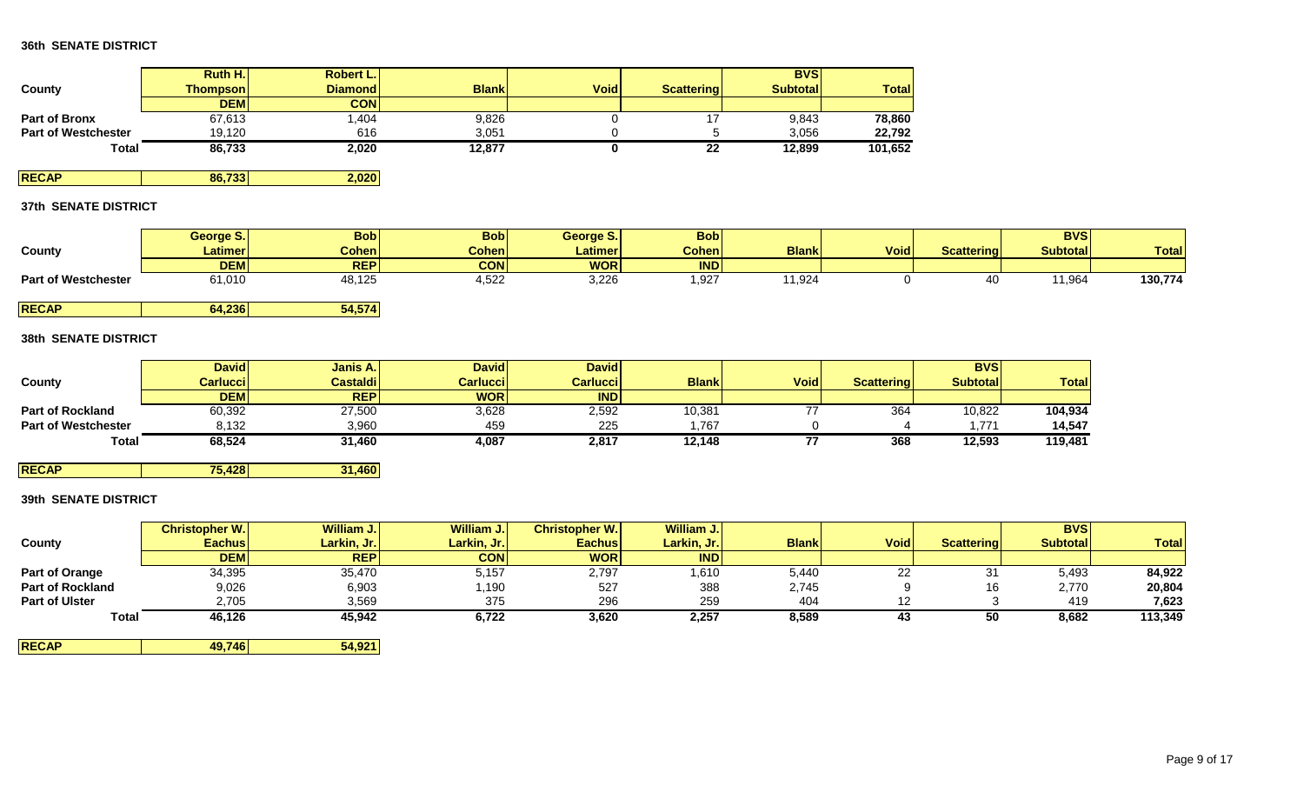|                            | <b>Ruth H.I.</b> | <b>Robert L.I</b> |              |             |                   | <b>BVS</b>       |              |
|----------------------------|------------------|-------------------|--------------|-------------|-------------------|------------------|--------------|
| County                     | <b>Thompson</b>  | <b>Diamond</b>    | <b>Blank</b> | <b>Void</b> | <b>Scattering</b> | <b>Subtotall</b> | <b>Total</b> |
|                            | <b>DEM</b>       | CONI              |              |             |                   |                  |              |
| <b>Part of Bronx</b>       | 67,613           | .404              | 9,826        |             |                   | 9,843            | 78,860       |
| <b>Part of Westchester</b> | 19.120           | 616               | 3,051        |             |                   | 3.056            | 22,792       |
| Total                      | 86,733           | 2,020             | 12,877       |             | 22                | 12,899           | 101,652      |

**RECAP 86,733 2,020**

# **37th SENATE DISTRICT**

|                            | George S.      | <b>Bob</b>     | Bob          | George S.            | <b>Bobl</b>  |                 |             |                   | <b>BVS</b>      |              |
|----------------------------|----------------|----------------|--------------|----------------------|--------------|-----------------|-------------|-------------------|-----------------|--------------|
| County                     | <b>Latimer</b> | <b>Cohen</b>   | <b>Cohen</b> | Latimer <sup>1</sup> | <b>Cohen</b> | <b>Blank</b>    | <b>Void</b> | <b>Scattering</b> | <b>Subtotal</b> | <b>Total</b> |
|                            | <b>DEM</b>     | <b>REP</b>     | <b>CON</b>   | <b>WOR</b>           | <b>INDI</b>  |                 |             |                   |                 |              |
| <b>Part of Westchester</b> | 61,010         | 0.107<br>8,1∠ວ | 1,522        | 3,226                | 1,927        | $^{\circ}1,924$ |             |                   | 1,964           | 130,774      |

**RECAP 64,236 54,574**

# **38th SENATE DISTRICT**

|                            | <b>David</b> | Janis A.        | <b>Davidl</b> | <b>David</b>     |              |             |                   | <b>BVS</b>      |              |
|----------------------------|--------------|-----------------|---------------|------------------|--------------|-------------|-------------------|-----------------|--------------|
| County                     | Carluccil    | <b>Castaldi</b> | Carluccil     | <b>Carluccil</b> | <b>Blank</b> | <b>Void</b> | <b>Scattering</b> | <b>Subtotal</b> | <b>Total</b> |
|                            | <b>DEM</b>   | <b>REP</b>      | <b>WORI</b>   | <b>IND</b>       |              |             |                   |                 |              |
| <b>Part of Rockland</b>    | 60,392       | 27,500          | 3,628         | 2,592            | 10,381       |             | 364               | 10,822          | 104,934      |
| <b>Part of Westchester</b> | 8,132        | 3,960           | 459           | 225              | .767         |             |                   | 771             | 14.547       |
| <b>Total</b>               | 68,524       | 31,460          | 4,087         | 2,817            | 12,148       |             | 368               | 12,593          | 119,481      |

**RECAP 75,428 31,460**

# **39th SENATE DISTRICT**

|                         | <b>Christopher W.</b> | William J.  | William J.  | <b>Christopher W.I</b> | William J.  |              |             |                   | <b>BVS</b>      |              |
|-------------------------|-----------------------|-------------|-------------|------------------------|-------------|--------------|-------------|-------------------|-----------------|--------------|
| County                  | <b>Eachus</b>         | Larkin, Jr. | Larkin, Jr. | <b>Eachus</b>          | Larkin, Jr. | <b>Blank</b> | <b>Void</b> | <b>Scattering</b> | <b>Subtotal</b> | <b>Total</b> |
|                         | <b>DEM</b>            | <b>REP</b>  | <b>CON</b>  | <b>WOR</b>             | <b>IND</b>  |              |             |                   |                 |              |
| Part of Orange          | 34,395                | 35,470      | 5,157       | 2,797                  | ,610        | 5,440        | 22          | 31                | 5,493           | 84,922       |
| <b>Part of Rockland</b> | 9,026                 | 6,903       | 1,190       | 527                    | 388         | 2,745        |             | 16                | 2,770           | 20,804       |
| <b>Part of Ulster</b>   | 2,705                 | 3,569       | 375         | 296                    | 259         | 404          |             |                   | 419             | 7,623        |
| Total                   | 46,126                | 45,942      | 6,722       | 3,620                  | 2,257       | 8,589        | 43          | 50                | 8,682           | 113,349      |

| <b>RECAP</b> | 49.746 | 54,921 |
|--------------|--------|--------|
|              |        |        |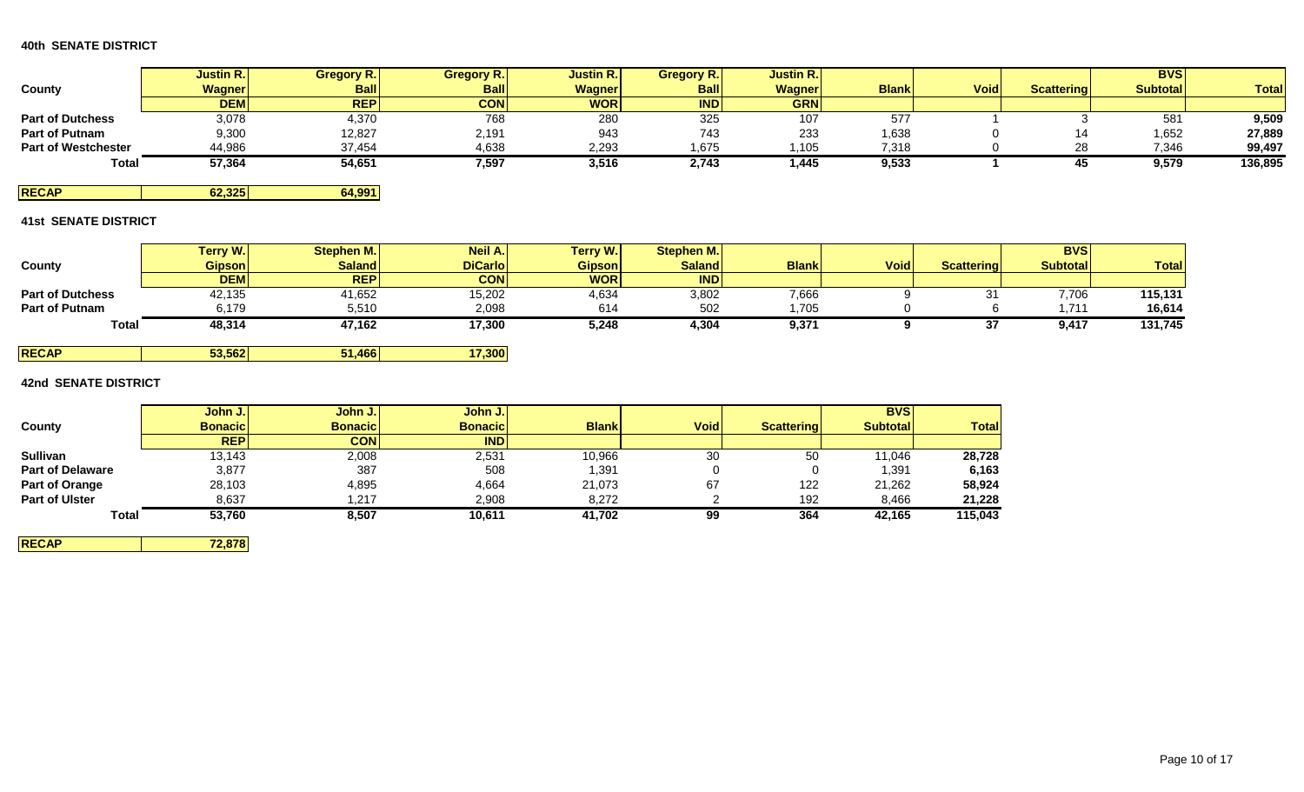|                            | <b>Justin R.</b> | <b>Gregory R.</b> | <b>Gregory R.</b> | <b>Justin R.</b> | <b>Gregory R.</b> | <b>Justin R.I</b> |              |             |                   | <b>BVSI</b>     |              |
|----------------------------|------------------|-------------------|-------------------|------------------|-------------------|-------------------|--------------|-------------|-------------------|-----------------|--------------|
| County                     | <b>Wagner</b>    | <b>Ball</b>       | <b>Ball</b>       | <b>Wagner</b>    | <b>Ball</b>       | <b>Wagner</b>     | <b>Blank</b> | <b>Void</b> | <b>Scattering</b> | <b>Subtotal</b> | <b>Total</b> |
|                            | <b>DEM</b>       | <b>REP</b>        | <b>CON</b>        | <b>WOR</b>       | <b>IND</b>        | <b>GRN</b>        |              |             |                   |                 |              |
| <b>Part of Dutchess</b>    | 3,078            | 4,370             | 768               | 280              | 325               | 107               | 5/1          |             |                   | 581             | 9,509        |
| <b>Part of Putnam</b>      | 9,300            | 12,827            | 2,191             | 943              | 743               | 233               | 1,638        |             |                   | 1,652           | 27,889       |
| <b>Part of Westchester</b> | 44,986           | 37,454            | 4,638             | 2,293            | 1,675             | 1,105             | 7,318        |             | ററ<br>20          | 7,346           | 99,497       |
| <b>Total</b>               | 57,364           | 54,651            | 7,597             | 3,516            | 2,743             | 1,445             | 9,533        |             |                   | 9,579           | 136,895      |

**RECAP 62,325 64,991**

# **41st SENATE DISTRICT**

|                         | <b>Terry W.I</b> | Stephen M.    | Neil A.        | Terry W.      | Stephen M.    |              |             |                   | <b>BVS</b>      |              |
|-------------------------|------------------|---------------|----------------|---------------|---------------|--------------|-------------|-------------------|-----------------|--------------|
| County                  | <b>Gipson</b>    | <b>Saland</b> | <b>DiCarlo</b> | <b>Gipson</b> | <b>Saland</b> | <b>Blank</b> | <b>Void</b> | <b>Scattering</b> | <b>Subtotal</b> | <b>Total</b> |
|                         | <b>DEM</b>       | <b>REP</b>    | <b>CON</b>     | <b>WOR</b>    | IND           |              |             |                   |                 |              |
| <b>Part of Dutchess</b> | 42,135           | 41,652        | 15,202         | 4,634         | 3,802         | 7,666        |             |                   | 7,706           | 115,131      |
| <b>Part of Putnam</b>   | 6.179            | 5,510         | 2,098          | 614           | 502           | .705         |             |                   | 711             | 16,614       |
| <b>Total</b>            | 48,314           | 47,162        | 17,300         | 5,248         | 4,304         | 9,371        |             |                   | 9,417           | 131,745      |

| 53,562<br><b>RECAP</b> | 466 | 7.300 |
|------------------------|-----|-------|
|------------------------|-----|-------|

# **42nd SENATE DISTRICT**

|                         | John J.         | John J.         | John J.         |              |             |                   | <b>BVS</b>      |              |
|-------------------------|-----------------|-----------------|-----------------|--------------|-------------|-------------------|-----------------|--------------|
| County                  | <b>Bonacicl</b> | <b>Bonacicl</b> | <b>Bonacicl</b> | <b>Blank</b> | <b>Void</b> | <b>Scattering</b> | <b>Subtotal</b> | <b>Total</b> |
|                         | <b>REP</b>      | <b>CON</b>      | <b>IND</b>      |              |             |                   |                 |              |
| <b>Sullivan</b>         | 13,143          | 2,008           | 2,531           | 10,966       | 30          | 50                | 11,046          | 28,728       |
| <b>Part of Delaware</b> | 3,877           | 387             | 508             | 391. ا       |             |                   | 1,391           | 6,163        |
| Part of Orange          | 28,103          | 4,895           | 4,664           | 21,073       | 67          | 122               | 21,262          | 58,924       |
| <b>Part of Ulster</b>   | 8.637           | 1.217           | 2,908           | 8.272        |             | 192               | 8.466           | 21,228       |
| <b>Total</b>            | 53,760          | 8,507           | 10,611          | 41,702       | 99          | 364               | 42,165          | 115,043      |

**RECAP 72,878**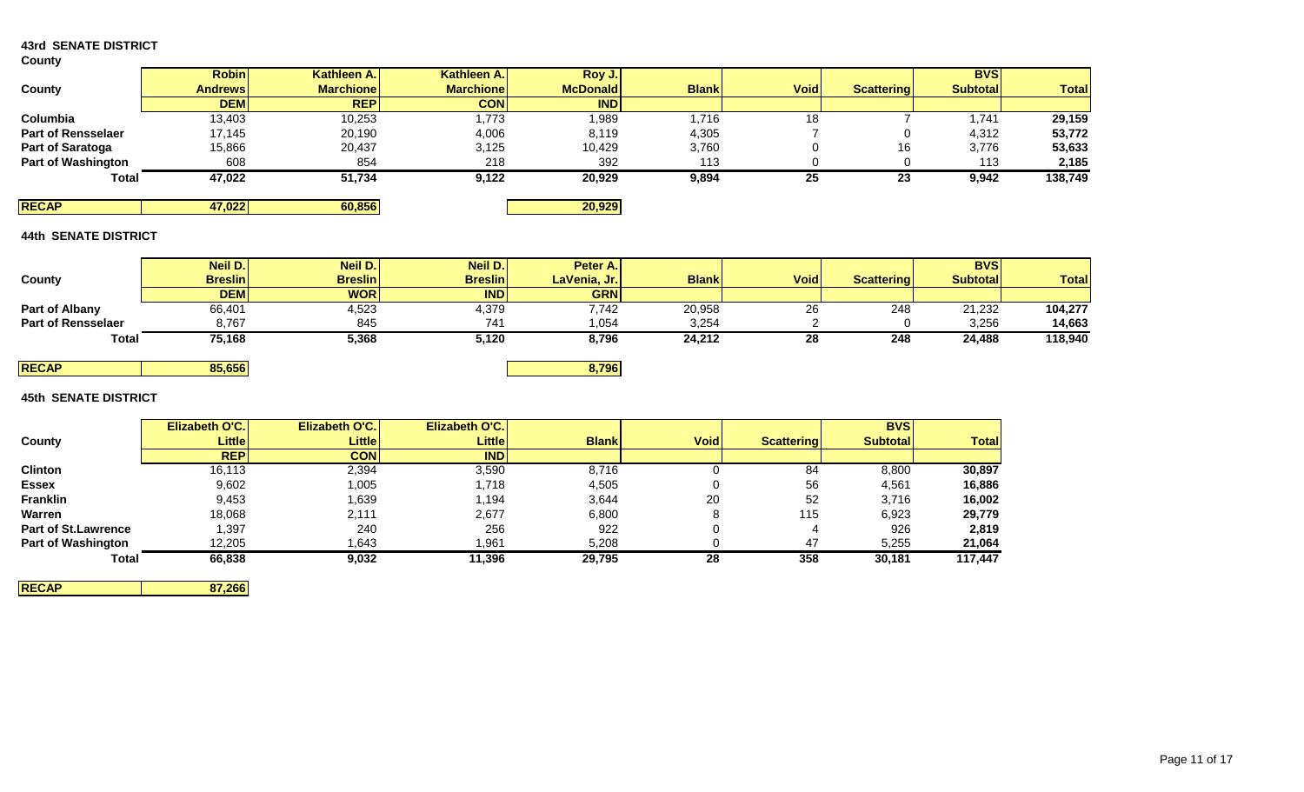# **43rd SENATE DISTRICT**

### **County**

| -------                   |                |                  |                  |                 |              |             |                   |                 |              |
|---------------------------|----------------|------------------|------------------|-----------------|--------------|-------------|-------------------|-----------------|--------------|
|                           | <b>Robin</b>   | Kathleen A.      | Kathleen A.      | Roy J.          |              |             |                   | <b>BVS</b>      |              |
| County                    | <b>Andrews</b> | <b>Marchione</b> | <b>Marchione</b> | <b>McDonald</b> | <b>Blank</b> | <b>Void</b> | <b>Scattering</b> | <b>Subtotal</b> | <b>Total</b> |
|                           | <b>DEM</b>     | <b>REP</b>       | <b>CON</b>       | <b>IND</b>      |              |             |                   |                 |              |
| Columbia                  | 13,403         | 10,253           | 1,773            | 1,989           | 1,716        | 18          |                   | 1,741           | 29,159       |
| <b>Part of Rensselaer</b> | 17,145         | 20,190           | 4,006            | 8,119           | 4,305        |             |                   | 4,312           | 53,772       |
| Part of Saratoga          | 15,866         | 20,437           | 3,125            | 10,429          | 3,760        |             | 16                | 3,776           | 53,633       |
| <b>Part of Washington</b> | 608            | 854              | 218              | 392             | 113          |             |                   | 113             | 2,185        |
| Total                     | 47,022         | 51,734           | 9,122            | 20,929          | 9,894        | 25          | 23                | 9,942           | 138,749      |
| <b>RECAP</b>              | 47,022         | 60,856           |                  | 20,929          |              |             |                   |                 |              |

# **44th SENATE DISTRICT**

|                           | Neil D.        | Neil D.        | Neil D.        | Peter A.I    |              |             |            | <b>BVS</b>      |              |
|---------------------------|----------------|----------------|----------------|--------------|--------------|-------------|------------|-----------------|--------------|
| <b>County</b>             | <b>Breslin</b> | <b>Breslin</b> | <b>Breslin</b> | LaVenia, Jr. | <b>Blank</b> | <b>Void</b> | Scattering | <b>Subtotal</b> | <b>Total</b> |
|                           | <b>DEM</b>     | <b>WOR</b>     | <b>IND</b>     | <b>GRN</b>   |              |             |            |                 |              |
| Part of Albany            | 66,401         | 4,523          | 4,379          | 7,742        | 20,958       | 26          | 248        | 21,232          | 104,277      |
| <b>Part of Rensselaer</b> | 8,767          | 845            | 741            | 1,054        | 3,254        |             |            | 3,256           | 14.663       |
| <b>Total</b>              | 75,168         | 5,368          | 5,120          | 8,796        | 24,212       | 28          | 248        | 24,488          | 118,940      |

# **45th SENATE DISTRICT**

|                            | <b>Elizabeth O'C.</b> | <b>Elizabeth O'C.</b> | Elizabeth O'C. |              |             |                   | <b>BVSI</b>      |              |
|----------------------------|-----------------------|-----------------------|----------------|--------------|-------------|-------------------|------------------|--------------|
| County                     | <b>Little</b>         | <b>Little</b>         | Littlel        | <b>Blank</b> | <b>Void</b> | <b>Scattering</b> | <b>Subtotall</b> | <b>Total</b> |
|                            | <b>REP</b>            | <b>CON</b>            | <b>IND</b>     |              |             |                   |                  |              |
| Clinton                    | 16,113                | 2,394                 | 3,590          | 8,716        |             | 84                | 8,800            | 30,897       |
| <b>Essex</b>               | 9,602                 | 1,005                 | 1,718          | 4,505        |             | 56                | 4,561            | 16,886       |
| Franklin                   | 9,453                 | .639                  | 1,194          | 3,644        | 20          | 52                | 3,716            | 16,002       |
| Warren                     | 18,068                | 2,111                 | 2,677          | 6,800        |             | 115               | 6,923            | 29,779       |
| <b>Part of St.Lawrence</b> | 1,397                 | 240                   | 256            | 922          |             | 4                 | 926              | 2,819        |
| <b>Part of Washington</b>  | 12,205                | .643                  | 1,961          | 5,208        |             | 47                | 5,255            | 21,064       |
| Total                      | 66,838                | 9,032                 | 11,396         | 29,795       | 28          | 358               | 30,181           | 117,447      |

**RECAP 85,656 8,796**

**RECAP 87,266**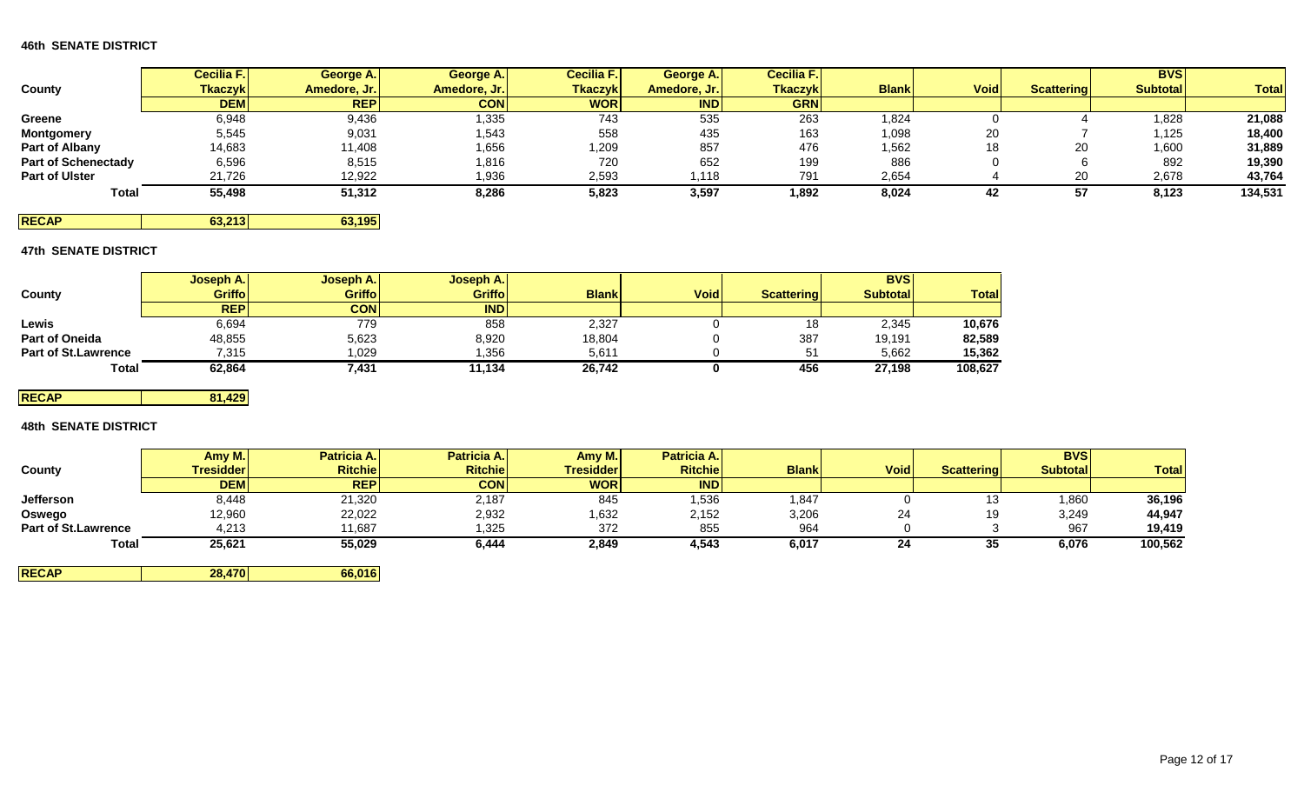|                            | <b>Cecilia F.I</b> | George A.    | George A.    | <b>Cecilia F.</b> | George A.    | Cecilia F.     |              |             |                   | <b>BVS</b>      |              |
|----------------------------|--------------------|--------------|--------------|-------------------|--------------|----------------|--------------|-------------|-------------------|-----------------|--------------|
| County                     | <b>Tkaczyk</b>     | Amedore, Jr. | Amedore, Jr. | <b>Tkaczyk</b>    | Amedore, Jr. | <b>Tkaczyk</b> | <b>Blank</b> | <b>Void</b> | <b>Scattering</b> | <b>Subtotal</b> | <b>Total</b> |
|                            | <b>DEM</b>         | <b>REP</b>   | <b>CON</b>   | <b>WOR</b>        | <b>IND</b>   | <b>GRN</b>     |              |             |                   |                 |              |
| Greene                     | 6,948              | 9,436        | 1,335        | 743               | 535          | 263            | ',824        |             |                   | 1,828           | 21,088       |
| <b>Montgomery</b>          | 5,545              | 9,031        | 1,543        | 558               | 435          | 163            | 1,098        | 20          |                   | 1,125           | 18,400       |
| Part of Albany             | 14,683             | 11,408       | 1,656        | 1,209             | 857          | 476            | 1,562        | 18          | 20                | 1,600           | 31,889       |
| <b>Part of Schenectady</b> | 6,596              | 8,515        | 1,816        | 720               | 652          | 199            | 886          |             |                   | 892             | 19,390       |
| <b>Part of Ulster</b>      | 21,726             | 12,922       | 1,936        | 2,593             | i,118        | 791            | 2,654        |             | or                | 2,678           | 43,764       |
| Total                      | 55,498             | 51,312       | 8,286        | 5,823             | 3,597        | 1,892          | 8,024        | 42          |                   | 8,123           | 134,531      |

**RECAP 63,213 63,195**

# **47th SENATE DISTRICT**

|                            | Joseph A.     | <b>Joseph A.</b> | <b>Joseph A.</b> |              |             |                   | <b>BVS</b>      |              |
|----------------------------|---------------|------------------|------------------|--------------|-------------|-------------------|-----------------|--------------|
| County                     | <b>Griffo</b> | <b>Griffo</b>    | <b>Griffo</b>    | <b>Blank</b> | <b>Void</b> | <b>Scattering</b> | <b>Subtotal</b> | <b>Total</b> |
|                            | <b>REP</b>    | CON              | <b>IND</b>       |              |             |                   |                 |              |
| Lewis                      | 6,694         | 779              | 858              | 2,327        |             | 18                | 2,345           | 10,676       |
| <b>Part of Oneida</b>      | 48,855        | 5,623            | 8,920            | 18,804       |             | 387               | 19,191          | 82,589       |
| <b>Part of St.Lawrence</b> | 7.315         | 1.029            | ,356             | 5,611        |             | 51                | 5,662           | 15,362       |
| Total                      | 62,864        | 7,431            | 11,134           | 26,742       |             | 456               | 27,198          | 108,627      |

**RECAP 81,429**

# **48th SENATE DISTRICT**

|                            | Amy M.     | <b>Patricia A.</b> | Patricia A.    | Amy M.           | <b>Patricia A.</b> |              |             |                   | <b>BVS</b>      |              |
|----------------------------|------------|--------------------|----------------|------------------|--------------------|--------------|-------------|-------------------|-----------------|--------------|
| County                     | Tresidder  | <b>Ritchie</b>     | <b>Ritchie</b> | <b>Tresidder</b> | <b>Ritchie</b>     | <b>Blank</b> | <b>Void</b> | <b>Scattering</b> | <b>Subtotal</b> | <b>Total</b> |
|                            | <b>DEM</b> | <b>REP</b>         | <b>CON</b>     | <b>WOR</b>       | IND                |              |             |                   |                 |              |
| <b>Jefferson</b>           | 8,448      | 21,320             | 2,187          | 845              | 1,536              | 847, ا       |             | ں ا               | 1,860           | 36,196       |
| Oswego                     | 12,960     | 22,022             | 2,932          | 1,632            | 2,152              | 3,206        | 24          | 19                | 3,249           | 44,947       |
| <b>Part of St.Lawrence</b> | 4,213      | 11,687             | 1,325          | 372              | 855                | 964          |             |                   | 967             | 19,419       |
| <b>Total</b>               | 25,621     | 55,029             | 6,444          | 2,849            | 4,543              | 6,017        | 24          | 35                | 6,076           | 100,562      |

**RECAP 28,470 66,016**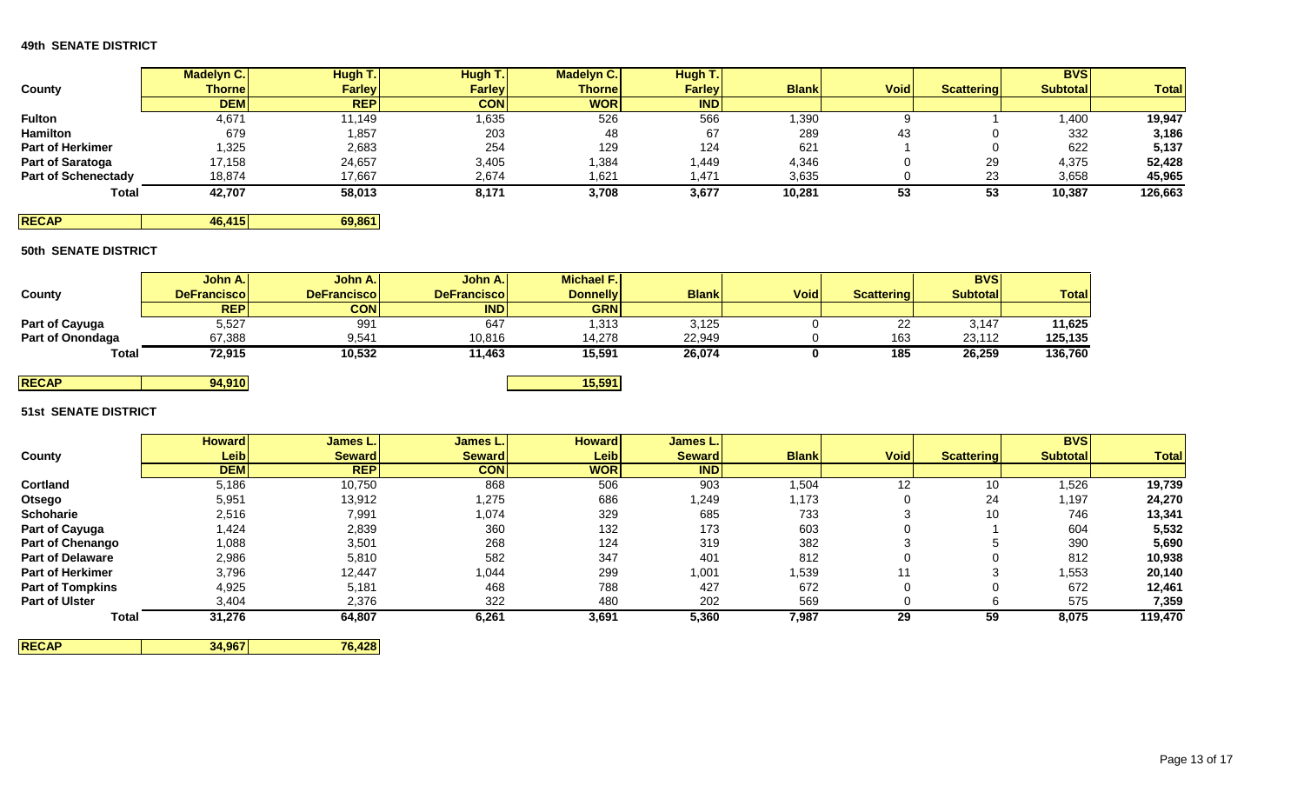|                            | <b>Madelyn C.</b> | Hugh T.       | Hugh T.       | <b>Madelyn C.</b> | Hugh T.       |              |             |                   | <b>BVS</b>      |              |
|----------------------------|-------------------|---------------|---------------|-------------------|---------------|--------------|-------------|-------------------|-----------------|--------------|
| County                     | <b>Thornel</b>    | <b>Farley</b> | <b>Farley</b> | <b>Thorne</b>     | <b>Farley</b> | <b>Blank</b> | <b>Void</b> | <b>Scattering</b> | <b>Subtotal</b> | <b>Total</b> |
|                            | <b>DEM</b>        | <b>REPI</b>   | <b>CON</b>    | <b>WOR</b>        | <b>IND</b>    |              |             |                   |                 |              |
| <b>Fulton</b>              | 4,671             | 11.149        | ,635          | 526               | 566           | 1,390        |             |                   | 1,400           | 19,947       |
| <b>Hamilton</b>            | 679               | 1,857         | 203           | 48                | 67            | 289          | 43          |                   | 332             | 3,186        |
| <b>Part of Herkimer</b>    | 1,325             | 2,683         | 254           | 129               | 124           | 621          |             |                   | 622             | 5,137        |
| Part of Saratoga           | 17,158            | 24,657        | 3,405         | 384,              | .449          | 4,346        |             | 29                | 4,375           | 52,428       |
| <b>Part of Schenectady</b> | 18,874            | 17,667        | 2,674         | 1,621             | ,471          | 3,635        |             | 23                | 3,658           | 45,965       |
| Total                      | 42,707            | 58,013        | 8,171         | 3,708             | 3,677         | 10,281       | 53          | 53                | 10,387          | 126,663      |

**RECAP 46,415 69,861** 

# **50th SENATE DISTRICT**

|                  | John A.I            | John A.             | John A.I            | <b>Michael F.I</b> |              |             |                   | <b>BVS</b>      |              |
|------------------|---------------------|---------------------|---------------------|--------------------|--------------|-------------|-------------------|-----------------|--------------|
| County           | <b>DeFranciscol</b> | <b>DeFranciscol</b> | <b>DeFranciscol</b> | <b>Donnelly</b>    | <b>Blank</b> | <b>Void</b> | <b>Scattering</b> | <b>Subtotal</b> | <b>Total</b> |
|                  | <b>REPI</b>         | <b>CON</b>          | <b>INDI</b>         | <b>GRN</b>         |              |             |                   |                 |              |
| Part of Cayuga   | 5,527               | 991                 | 647                 | 1,313              | 3,125        |             | າາ<br>22          | 3,147           | 11,625       |
| Part of Onondaga | 67,388              | 9,541               | 10,816              | 14,278             | 22,949       |             | 163               | 23.112          | 125,135      |
| <b>Total</b>     | 72,915              | 10,532              | 11,463              | 15,591             | 26,074       |             | 185               | 26,259          | 136,760      |
|                  |                     |                     |                     |                    |              |             |                   |                 |              |

# **RECAP 94,910 15,591 51st SENATE DISTRICT**

|                         | <b>Howard</b>     | James L.      | James L.      | <b>Howard</b>     | James L.      |              |             |            | <b>BVSI</b>     |              |
|-------------------------|-------------------|---------------|---------------|-------------------|---------------|--------------|-------------|------------|-----------------|--------------|
| County                  | Leib <sub>l</sub> | <b>Seward</b> | <b>Seward</b> | Leib <sup>l</sup> | <b>Seward</b> | <b>Blank</b> | <b>Void</b> | Scattering | <b>Subtotal</b> | <b>Total</b> |
|                         | <b>DEMI</b>       | <b>REP</b>    | <b>CON</b>    | <b>WOR</b>        | <b>IND</b>    |              |             |            |                 |              |
| <b>Cortland</b>         | 5,186             | 10,750        | 868           | 506               | 903           | 1,504        | 12          | 10         | 1,526           | 19,739       |
| Otsego                  | 5,951             | 13,912        | 1,275         | 686               | 1,249         | 1,173        |             | 24         | 1,197           | 24,270       |
| Schoharie               | 2,516             | 7,991         | 1,074         | 329               | 685           | 733          |             | 10         | 746             | 13,341       |
| Part of Cayuga          | 1,424             | 2,839         | 360           | 132               | 173           | 603          |             |            | 604             | 5,532        |
| <b>Part of Chenango</b> | 1,088             | 3,501         | 268           | 124               | 319           | 382          |             |            | 390             | 5,690        |
| <b>Part of Delaware</b> | 2,986             | 5,810         | 582           | 347               | 401           | 812          |             |            | 812             | 10,938       |
| Part of Herkimer        | 3,796             | 12,447        | 1,044         | 299               | 1,001         | 1,539        |             |            | 1,553           | 20,140       |
| <b>Part of Tompkins</b> | 4,925             | 5,181         | 468           | 788               | 427           | 672          |             |            | 672             | 12,461       |
| Part of Ulster          | 3,404             | 2,376         | 322           | 480               | 202           | 569          |             |            | 575             | 7,359        |
| <b>Total</b>            | 31,276            | 64,807        | 6,261         | 3,691             | 5,360         | 7,987        | 29          | 59         | 8,075           | 119,470      |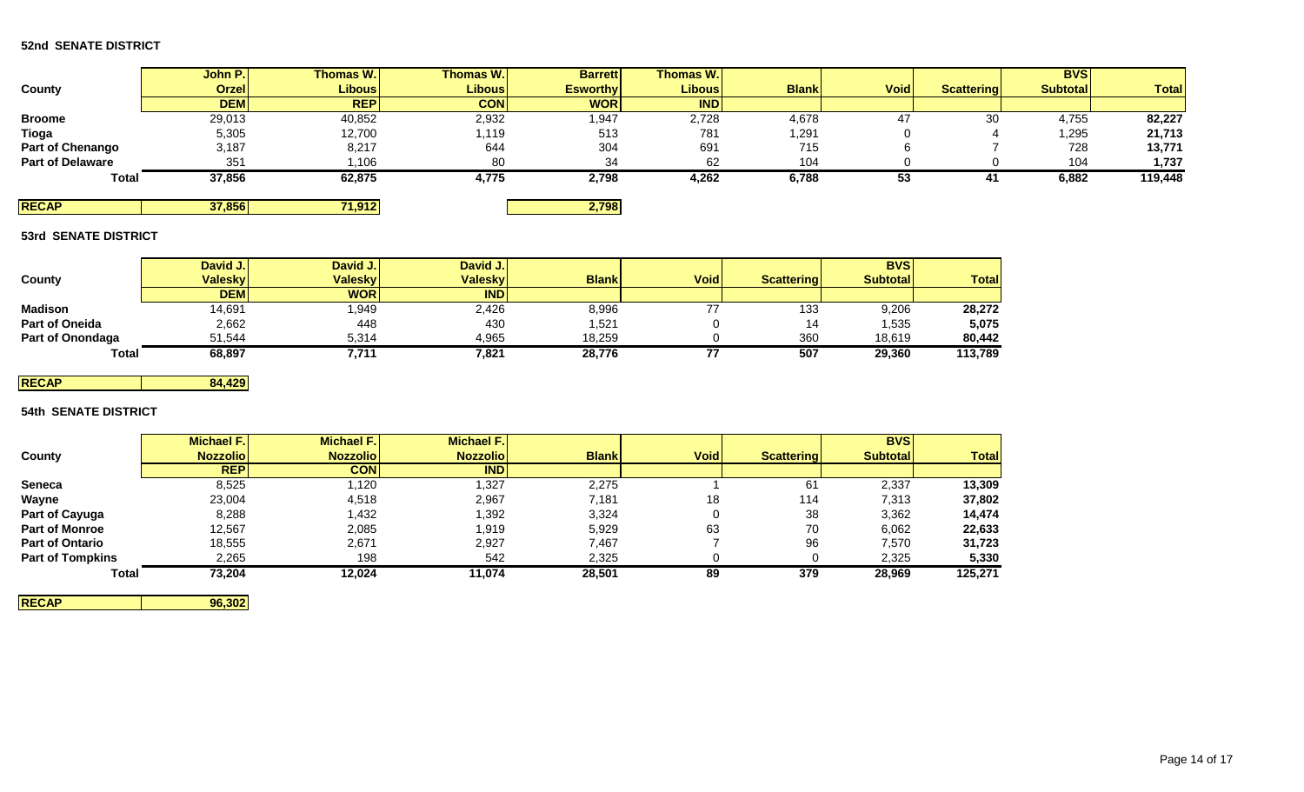# **52nd SENATE DISTRICT**

|                         | John P.      | Thomas W.     | <b>Thomas W.</b> | <b>Barrett</b>  | <b>Thomas W.</b> |              |             |                   | <b>BVSI</b>     |              |
|-------------------------|--------------|---------------|------------------|-----------------|------------------|--------------|-------------|-------------------|-----------------|--------------|
| County                  | <b>Orzel</b> | <b>Libous</b> | <b>Libous</b>    | <b>Esworthy</b> | Libous           | <b>Blank</b> | <b>Void</b> | <b>Scattering</b> | <b>Subtotal</b> | <b>Total</b> |
|                         | <b>DEM</b>   | <b>REP</b>    | <b>CON</b>       | <b>WOR</b>      | <b>IND</b>       |              |             |                   |                 |              |
| <b>Broome</b>           | 29,013       | 40,852        | 2,932            | 947. ا          | 2,728            | 4,678        | 47          | 30                | 4,755           | 82,227       |
| Tioga                   | 5,305        | 12,700        | 1,119            | 513             | 781              | 1,291        |             |                   | 1,295           | 21,713       |
| Part of Chenango        | 3,187        | 8,217         | 644              | 304             | 691              | 715          |             |                   | 728             | 13,771       |
| <b>Part of Delaware</b> | 351          | 1,106         | 80               | 34              | 62               | 104          |             |                   | 104             | 1,737        |
| <b>Total</b>            | 37,856       | 62,875        | 4,775            | 2,798           | 4,262            | 6,788        | 53          | .                 | 6,882           | 119,448      |
| <b>RECAP</b>            | 37,856       | 71,912        |                  | 2,798           |                  |              |             |                   |                 |              |

### **53rd SENATE DISTRICT**

|                       | David J.       | David J.       | David J.   |              |             |                   | <b>BVS</b>       |              |
|-----------------------|----------------|----------------|------------|--------------|-------------|-------------------|------------------|--------------|
| County                | <b>Valesky</b> | <b>Valesky</b> | Valesky    | <b>Blank</b> | <b>Void</b> | <b>Scattering</b> | <b>Subtotall</b> | <b>Total</b> |
|                       | <b>DEM</b>     | <b>WOR</b>     | <b>IND</b> |              |             |                   |                  |              |
| Madison               | 14,691         | 1,949          | 2,426      | 8,996        | --          | 133               | 9,206            | 28,272       |
| <b>Part of Oneida</b> | 2,662          | 448            | 430        | 521.         |             | 14                | 1,535            | 5,075        |
| Part of Onondaga      | 51,544         | 5,314          | 4,965      | 18.259       |             | 360               | 18.619           | 80,442       |
| <b>Total</b>          | 68,897         | 7,711          | 7,821      | 28,776       | 77          | 507               | 29,360           | 113,789      |

# **RECAP 84,429**

# **54th SENATE DISTRICT**

|                         | <b>Michael F.I</b> | <b>Michael F.I</b> | <b>Michael F.</b> |              |             |                   | <b>BVS</b>      |              |
|-------------------------|--------------------|--------------------|-------------------|--------------|-------------|-------------------|-----------------|--------------|
| County                  | <b>Nozzoliol</b>   | <b>Nozzoliol</b>   | <b>Nozzoliol</b>  | <b>Blank</b> | <b>Void</b> | <b>Scattering</b> | <b>Subtotal</b> | <b>Total</b> |
|                         | <b>REP</b>         | <b>CONI</b>        | <b>IND</b>        |              |             |                   |                 |              |
| <b>Seneca</b>           | 8,525              | 1.120              | 1,327             | 2,275        |             | 61                | 2,337           | 13,309       |
| Wayne                   | 23,004             | 4,518              | 2,967             | 7.181        | 18          | 114               | 7,313           | 37,802       |
| Part of Cayuga          | 8,288              | 1,432              | 1,392             | 3,324        |             | 38                | 3,362           | 14,474       |
| <b>Part of Monroe</b>   | 12,567             | 2,085              | 1,919             | 5,929        | 63          | 70                | 6,062           | 22,633       |
| <b>Part of Ontario</b>  | 18,555             | 2,671              | 2,927             | 7,467        |             | 96                | 7,570           | 31,723       |
| <b>Part of Tompkins</b> | 2,265              | 198                | 542               | 2,325        |             |                   | 2,325           | 5,330        |
| <b>Total</b>            | 73,204             | 12,024             | 11,074            | 28,501       | 89          | 379               | 28,969          | 125,271      |

**RECAP 96,302**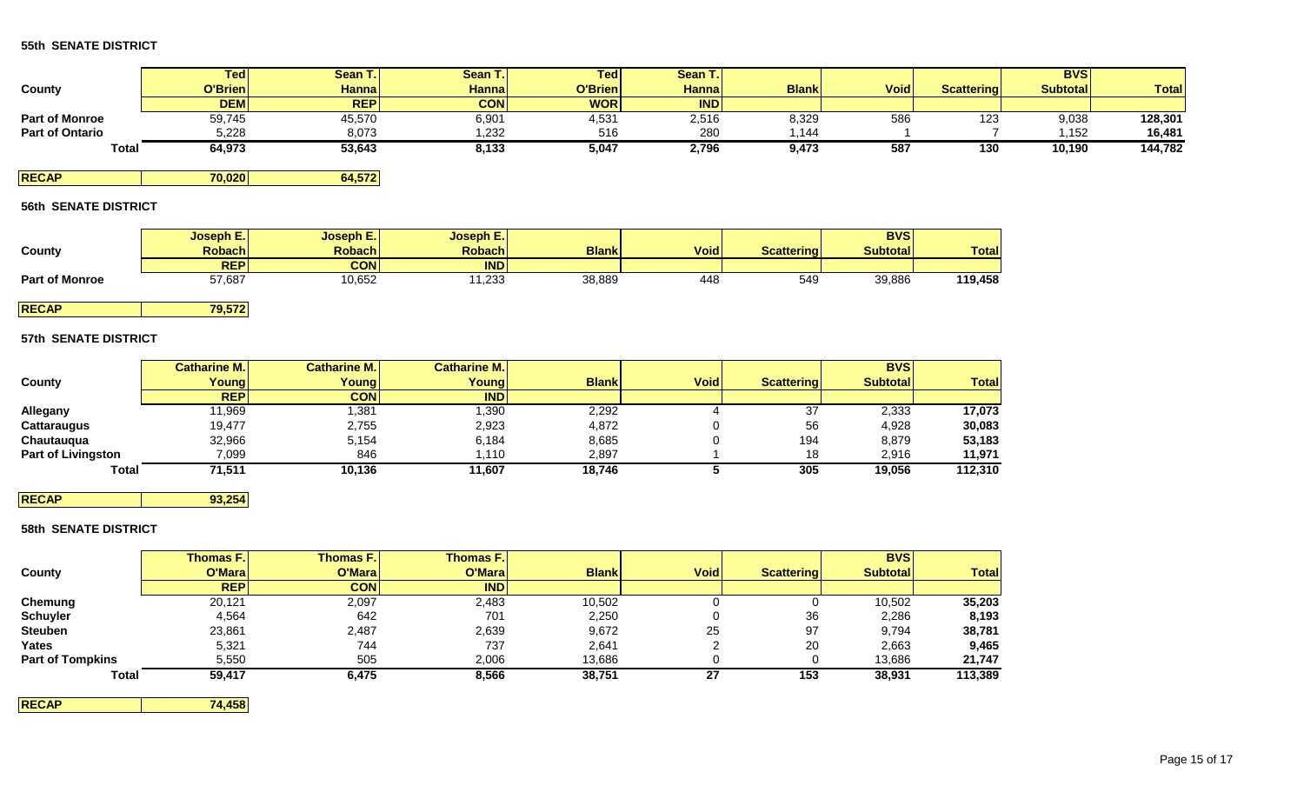|                        | Ted        | Sean T.I     | Sean T.      | Ted <sub>1</sub> | Sean T.       |              |             |                   | <b>BVS</b>      |              |
|------------------------|------------|--------------|--------------|------------------|---------------|--------------|-------------|-------------------|-----------------|--------------|
| County                 | O'Brien    | <b>Hanna</b> | <b>Hanna</b> | O'Brien          | <b>Hannal</b> | <b>Blank</b> | <b>Void</b> | <b>Scattering</b> | <b>Subtotal</b> | <b>Total</b> |
|                        | <b>DEM</b> | <b>REPI</b>  | <b>CON</b>   | <b>WOR</b>       | <b>IND</b>    |              |             |                   |                 |              |
| <b>Part of Monroe</b>  | 59,745     | 45,570       | 6,901        | 4,531            | 2,516         | 8,329        | 586         | 123               | 9,038           | 128,301      |
| <b>Part of Ontario</b> | 5.228      | 8,073        | ,232         | 516              | 280           | 1.144        |             |                   | .152            | 16,481       |
| Total                  | 64,973     | 53,643       | 8,133        | 5,047            | 2,796         | 9,473        | 587         | 130               | 10,190          | 144,782      |

**RECAP 70,020 64,572**

# **56th SENATE DISTRICT**

|                       | Joseph E.  | Joseph E.     | <b>Joseph E.</b> |              |             |                   | <b>BVS</b>      |              |
|-----------------------|------------|---------------|------------------|--------------|-------------|-------------------|-----------------|--------------|
| County                | Robach     | <b>Robach</b> | <b>Robach</b>    | <b>Blank</b> | <b>Void</b> | <b>Scattering</b> | <b>Subtotal</b> | <b>Total</b> |
|                       | <b>REP</b> | CON           | <b>IND</b>       |              |             |                   |                 |              |
| <b>Part of Monroe</b> | 57,687     | 10,652        | 1,233            | 38,889       | 448         | 549               | 39,886          | 119,458      |

**RECAP 79,572**

# **57th SENATE DISTRICT**

|                           | <b>Catharine M.</b> | Catharine M.I | Catharine M.I |              |             |                   | <b>BVS</b>      |              |
|---------------------------|---------------------|---------------|---------------|--------------|-------------|-------------------|-----------------|--------------|
| County                    | Young               | Young         | Young         | <b>Blank</b> | <b>Void</b> | <b>Scattering</b> | <b>Subtotal</b> | <b>Total</b> |
|                           | <b>REP</b>          | <b>CON</b>    | <b>IND</b>    |              |             |                   |                 |              |
| Allegany                  | 11,969              | .381          | ,390          | 2,292        |             | 37                | 2,333           | 17,073       |
| <b>Cattaraugus</b>        | 19,477              | 2,755         | 2,923         | 4,872        |             | 56                | 4,928           | 30,083       |
| Chautauqua                | 32,966              | 5,154         | 6,184         | 8,685        |             | 194               | 8,879           | 53,183       |
| <b>Part of Livingston</b> | 7,099               | 846           | 1,110         | 2,897        |             | 18                | 2,916           | 11,971       |
| <b>Total</b>              | 71,511              | 10,136        | 11.607        | 18.746       |             | 305               | 19,056          | 112.310      |

# **RECAP 93,254**

# **58th SENATE DISTRICT**

|                         | <b>Thomas F.</b> | <b>Thomas F.I</b> | <b>Thomas F.</b> |              |             |                   | <b>BVS</b>      |              |
|-------------------------|------------------|-------------------|------------------|--------------|-------------|-------------------|-----------------|--------------|
| County                  | O'Maral          | O'Mara            | O'Mara           | <b>Blank</b> | <b>Void</b> | <b>Scattering</b> | <b>Subtotal</b> | <b>Total</b> |
|                         | <b>REPI</b>      | <b>CON</b>        | <b>IND</b>       |              |             |                   |                 |              |
| Chemung                 | 20,121           | 2,097             | 2,483            | 10,502       |             |                   | 10,502          | 35,203       |
| <b>Schuyler</b>         | 4,564            | 642               | 701              | 2,250        |             | 36                | 2,286           | 8,193        |
| <b>Steuben</b>          | 23,861           | 2,487             | 2,639            | 9,672        | 25          | 97                | 9,794           | 38,781       |
| Yates                   | 5,321            | 744               | 737              | 2,641        |             | 20                | 2,663           | 9,465        |
| <b>Part of Tompkins</b> | 5,550            | 505               | 2,006            | 13,686       |             |                   | 13,686          | 21,747       |
| <b>Total</b>            | 59,417           | 6,475             | 8,566            | 38,751       | 27          | 153               | 38,931          | 113,389      |

**RECAP 74,458**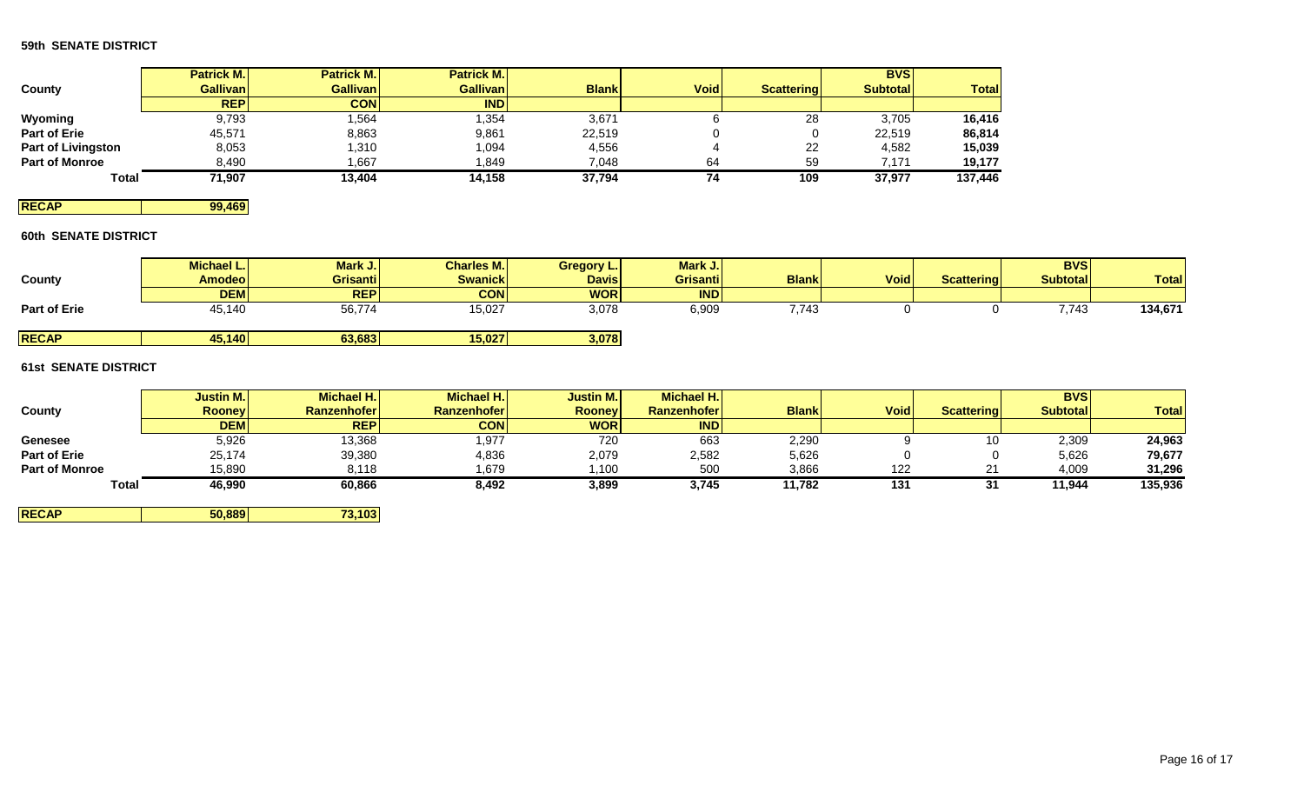|                           | <b>Patrick M.</b> | <b>Patrick M.</b> | <b>Patrick M.</b> |              |             |                   | <b>BVS</b>      |              |
|---------------------------|-------------------|-------------------|-------------------|--------------|-------------|-------------------|-----------------|--------------|
| County                    | <b>Gallivan</b>   | <b>Gallivan I</b> | <b>Gallivan</b>   | <b>Blank</b> | <b>Void</b> | <b>Scattering</b> | <b>Subtotal</b> | <b>Total</b> |
|                           | <b>REP</b>        | <b>CON</b>        | <b>IND</b>        |              |             |                   |                 |              |
| Wyoming                   | 9,793             | .564              | 1,354             | 3,671        |             | 28                | 3,705           | 16,416       |
| <b>Part of Erie</b>       | 45,571            | 8,863             | 9,861             | 22,519       |             |                   | 22,519          | 86,814       |
| <b>Part of Livingston</b> | 8,053             | ,310              | .094 ا            | 4,556        |             | 22                | 4,582           | 15,039       |
| <b>Part of Monroe</b>     | 8,490             | ,667              | ,849              | 7,048        | 64          | 59                | 7.171           | 19,177       |
| <b>Total</b>              | 71,907            | 13,404            | 14,158            | 37,794       | 74          | 109               | 37,977          | 137,446      |

**RECAP 99,469** 

# **60th SENATE DISTRICT**

| <b>County</b>       | Michael L.<br><b>Amodeo</b> | Mark J.<br><b>Grisanti</b> | <b>Charles M.</b><br><b>Swanick</b> | Gregory L.<br><b>Davis</b> | Mark J.<br>Grisanti | <b>Blank</b> | <b>Void</b> | <b>Scattering</b> | <b>BVSI</b><br><b>Subtotal</b> | <b>Total</b> |
|---------------------|-----------------------------|----------------------------|-------------------------------------|----------------------------|---------------------|--------------|-------------|-------------------|--------------------------------|--------------|
|                     | <b>DEM</b>                  | <b>REP</b>                 | <b>CON</b>                          | <b>WOR</b>                 | <b>IND</b>          |              |             |                   |                                |              |
| <b>Part of Erie</b> | 45,140                      | 56,774                     | 15,027                              | 3,078                      | 6,909               | 7,743        |             |                   | 7,743                          | 134,671      |
| <b>RECAP</b>        | 45,140                      | 63,683                     | 15,027                              | 3,078                      |                     |              |             |                   |                                |              |

# **61st SENATE DISTRICT**

|                       | <b>Justin M.</b> | Michael H.Ï        | Michael H.         | Justin M.     | Michael H.         |              |             |                   | <b>BVSI</b>     |              |
|-----------------------|------------------|--------------------|--------------------|---------------|--------------------|--------------|-------------|-------------------|-----------------|--------------|
| County                | <b>Rooney</b>    | <b>Ranzenhofer</b> | <b>Ranzenhofer</b> | <b>Rooney</b> | <b>Ranzenhofer</b> | <b>Blank</b> | <b>Void</b> | <b>Scattering</b> | <b>Subtotal</b> | <b>Total</b> |
|                       | <b>DEMI</b>      | <b>REP</b>         | <b>CON</b>         | <b>WOR</b>    | <b>IND</b>         |              |             |                   |                 |              |
| Genesee               | 5,926            | 13,368             | 1,977              | 720           | 663                | 2,290        |             | 10                | 2,309           | 24,963       |
| <b>Part of Erie</b>   | 25,174           | 39,380             | 4,836              | 2,079         | 2,582              | 5,626        |             |                   | 5,626           | 79,677       |
| <b>Part of Monroe</b> | 15,890           | 8,118              | 679, ا             | .100،         | 500                | 3,866        | 122         |                   | 4,009           | 31,296       |
| <b>Total</b>          | 46,990           | 60,866             | 8,492              | 3,899         | 3,745              | 11,782       | 131         |                   | 11,944          | 135,936      |

**RECAP 50,889 73,103**